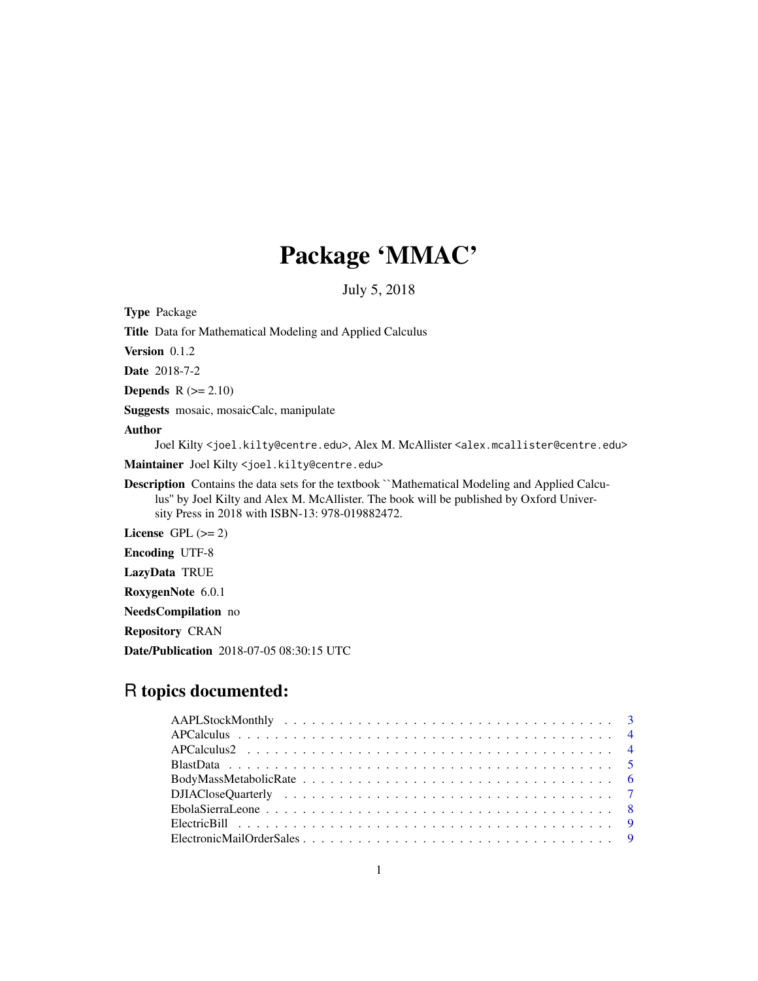# Package 'MMAC'

July 5, 2018

Type Package

Title Data for Mathematical Modeling and Applied Calculus

Version 0.1.2

Date 2018-7-2

**Depends**  $R$  ( $>= 2.10$ )

Suggests mosaic, mosaicCalc, manipulate

## Author

Joel Kilty <joel.kilty@centre.edu>, Alex M. McAllister <alex.mcallister@centre.edu>

Maintainer Joel Kilty <joel.kilty@centre.edu>

Description Contains the data sets for the textbook ``Mathematical Modeling and Applied Calculus'' by Joel Kilty and Alex M. McAllister. The book will be published by Oxford University Press in 2018 with ISBN-13: 978-019882472.

License GPL  $(>= 2)$ 

Encoding UTF-8

LazyData TRUE

RoxygenNote 6.0.1

NeedsCompilation no

Repository CRAN

Date/Publication 2018-07-05 08:30:15 UTC

## R topics documented: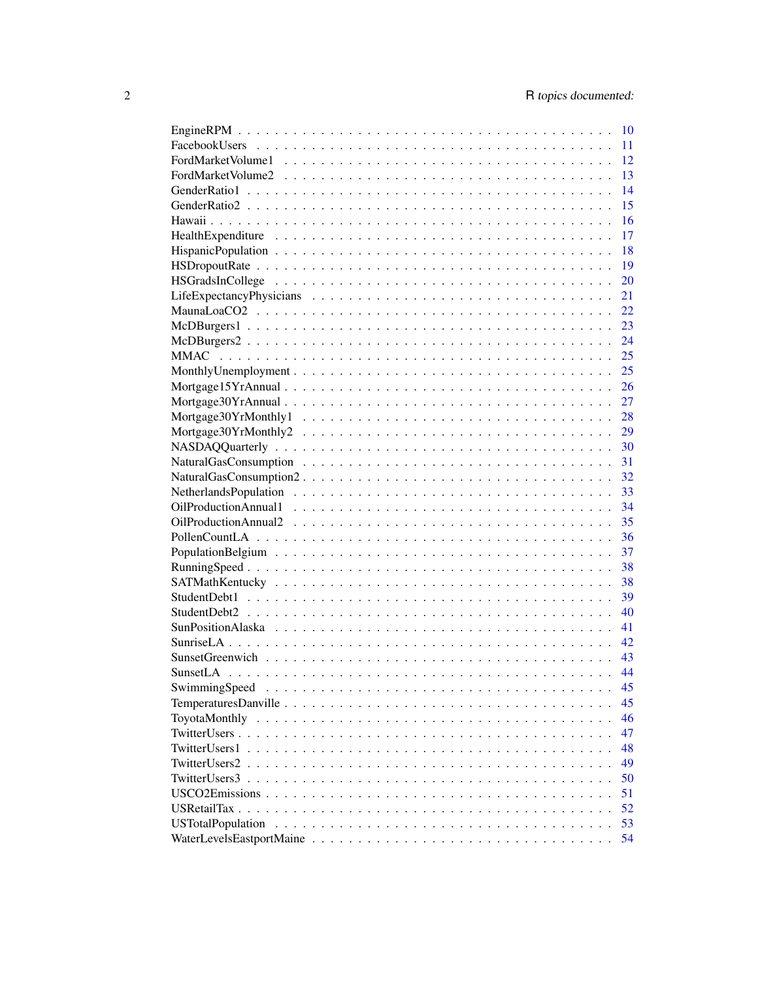|                          | 10 |
|--------------------------|----|
|                          | 11 |
|                          | 12 |
|                          | 13 |
|                          | 14 |
|                          | 15 |
|                          | 16 |
|                          | 17 |
|                          | 18 |
|                          | 19 |
|                          | 20 |
|                          | 21 |
|                          | 22 |
|                          | 23 |
|                          | 24 |
|                          |    |
|                          |    |
|                          |    |
|                          |    |
|                          |    |
|                          |    |
|                          |    |
|                          |    |
|                          |    |
|                          |    |
|                          |    |
|                          |    |
|                          |    |
|                          | 37 |
|                          | 38 |
|                          | 38 |
|                          | 39 |
|                          | 40 |
|                          | 41 |
|                          | 42 |
|                          | 43 |
|                          | 44 |
| SwimmingSpeed            | 45 |
|                          | 45 |
|                          | 46 |
|                          | 47 |
| TwitterUsers1            | 48 |
| TwitterUsers2            | 49 |
| TwitterUsers3            | 50 |
|                          | 51 |
| USRetailTax              | 52 |
| <b>USTotalPopulation</b> | 53 |
|                          | 54 |
|                          |    |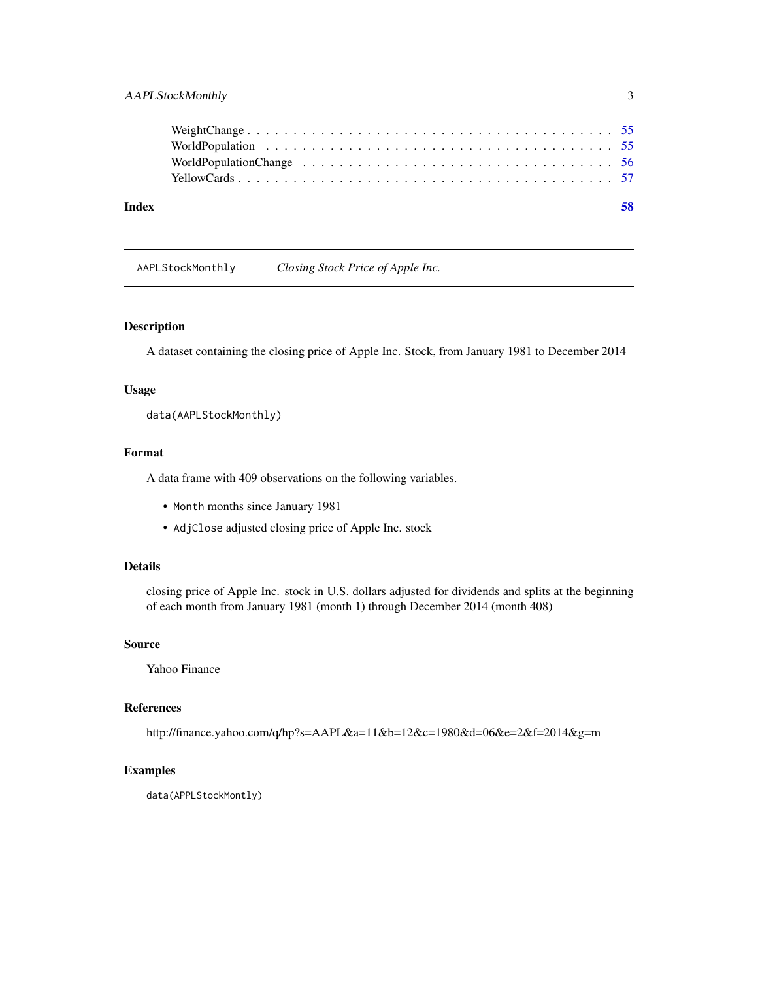<span id="page-2-0"></span>

| Index |  |
|-------|--|
|       |  |
|       |  |
|       |  |
|       |  |
|       |  |

AAPLStockMonthly *Closing Stock Price of Apple Inc.*

## Description

A dataset containing the closing price of Apple Inc. Stock, from January 1981 to December 2014

## Usage

data(AAPLStockMonthly)

## Format

A data frame with 409 observations on the following variables.

- Month months since January 1981
- AdjClose adjusted closing price of Apple Inc. stock

## Details

closing price of Apple Inc. stock in U.S. dollars adjusted for dividends and splits at the beginning of each month from January 1981 (month 1) through December 2014 (month 408)

#### Source

Yahoo Finance

## References

http://finance.yahoo.com/q/hp?s=AAPL&a=11&b=12&c=1980&d=06&e=2&f=2014&g=m

#### Examples

data(APPLStockMontly)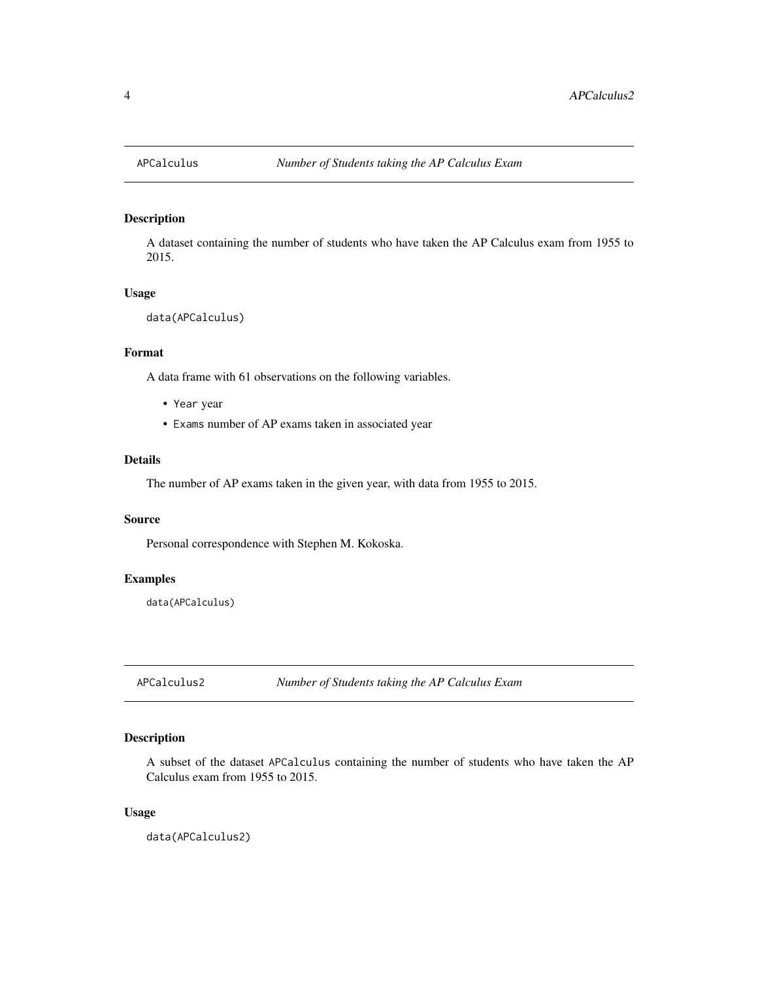<span id="page-3-0"></span>

A dataset containing the number of students who have taken the AP Calculus exam from 1955 to 2015.

## Usage

```
data(APCalculus)
```
#### Format

A data frame with 61 observations on the following variables.

- Year year
- Exams number of AP exams taken in associated year

## Details

The number of AP exams taken in the given year, with data from 1955 to 2015.

## Source

Personal correspondence with Stephen M. Kokoska.

## Examples

data(APCalculus)

APCalculus2 *Number of Students taking the AP Calculus Exam*

## Description

A subset of the dataset APCalculus containing the number of students who have taken the AP Calculus exam from 1955 to 2015.

## Usage

data(APCalculus2)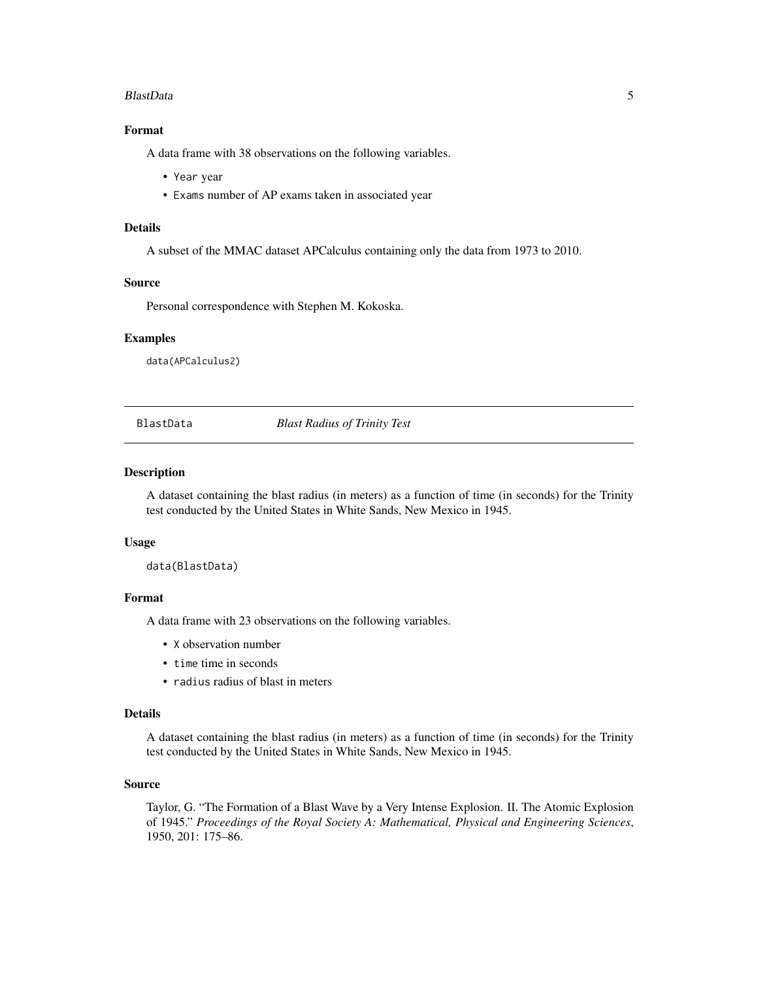#### <span id="page-4-0"></span>BlastData 5

## Format

A data frame with 38 observations on the following variables.

- Year year
- Exams number of AP exams taken in associated year

#### Details

A subset of the MMAC dataset APCalculus containing only the data from 1973 to 2010.

#### Source

Personal correspondence with Stephen M. Kokoska.

#### Examples

data(APCalculus2)

BlastData *Blast Radius of Trinity Test*

#### Description

A dataset containing the blast radius (in meters) as a function of time (in seconds) for the Trinity test conducted by the United States in White Sands, New Mexico in 1945.

#### Usage

data(BlastData)

## Format

A data frame with 23 observations on the following variables.

- X observation number
- time time in seconds
- radius radius of blast in meters

## Details

A dataset containing the blast radius (in meters) as a function of time (in seconds) for the Trinity test conducted by the United States in White Sands, New Mexico in 1945.

## Source

Taylor, G. "The Formation of a Blast Wave by a Very Intense Explosion. II. The Atomic Explosion of 1945." *Proceedings of the Royal Society A: Mathematical, Physical and Engineering Sciences*, 1950, 201: 175–86.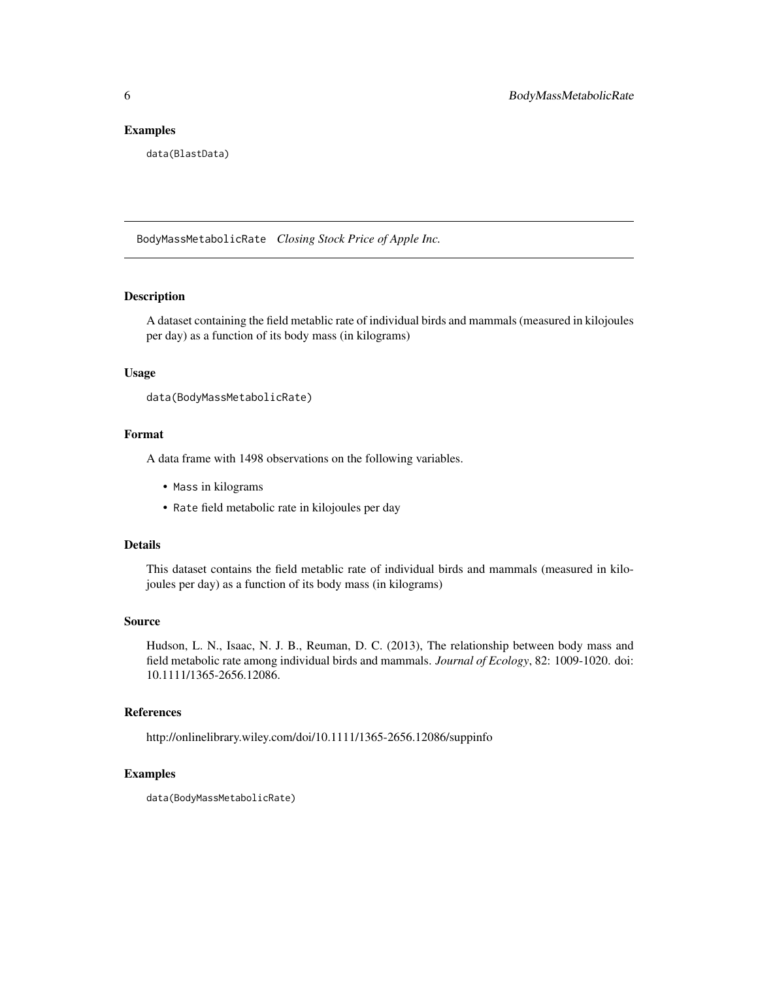#### <span id="page-5-0"></span>Examples

data(BlastData)

BodyMassMetabolicRate *Closing Stock Price of Apple Inc.*

## Description

A dataset containing the field metablic rate of individual birds and mammals (measured in kilojoules per day) as a function of its body mass (in kilograms)

#### Usage

```
data(BodyMassMetabolicRate)
```
#### Format

A data frame with 1498 observations on the following variables.

- Mass in kilograms
- Rate field metabolic rate in kilojoules per day

#### Details

This dataset contains the field metablic rate of individual birds and mammals (measured in kilojoules per day) as a function of its body mass (in kilograms)

#### Source

Hudson, L. N., Isaac, N. J. B., Reuman, D. C. (2013), The relationship between body mass and field metabolic rate among individual birds and mammals. *Journal of Ecology*, 82: 1009-1020. doi: 10.1111/1365-2656.12086.

#### References

http://onlinelibrary.wiley.com/doi/10.1111/1365-2656.12086/suppinfo

#### Examples

data(BodyMassMetabolicRate)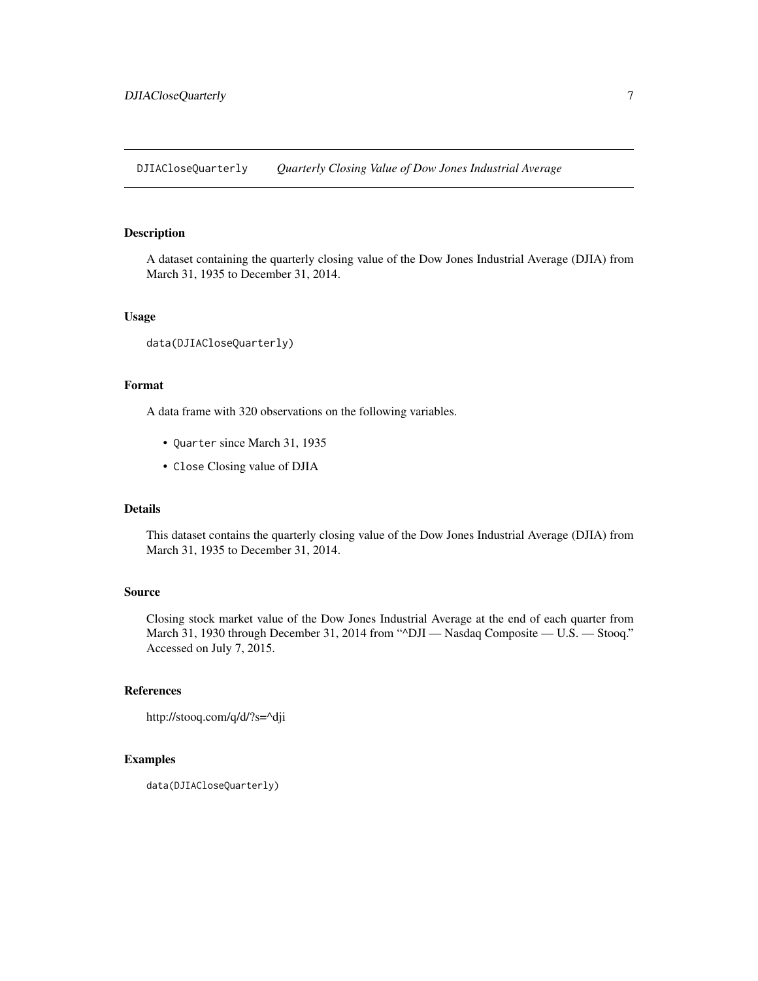<span id="page-6-0"></span>DJIACloseQuarterly *Quarterly Closing Value of Dow Jones Industrial Average*

## Description

A dataset containing the quarterly closing value of the Dow Jones Industrial Average (DJIA) from March 31, 1935 to December 31, 2014.

#### Usage

```
data(DJIACloseQuarterly)
```
#### Format

A data frame with 320 observations on the following variables.

- Quarter since March 31, 1935
- Close Closing value of DJIA

## Details

This dataset contains the quarterly closing value of the Dow Jones Industrial Average (DJIA) from March 31, 1935 to December 31, 2014.

#### Source

Closing stock market value of the Dow Jones Industrial Average at the end of each quarter from March 31, 1930 through December 31, 2014 from "^DJI - Nasdaq Composite - U.S. - Stooq." Accessed on July 7, 2015.

## References

```
http://stooq.com/q/d/?s=^dji
```

```
data(DJIACloseQuarterly)
```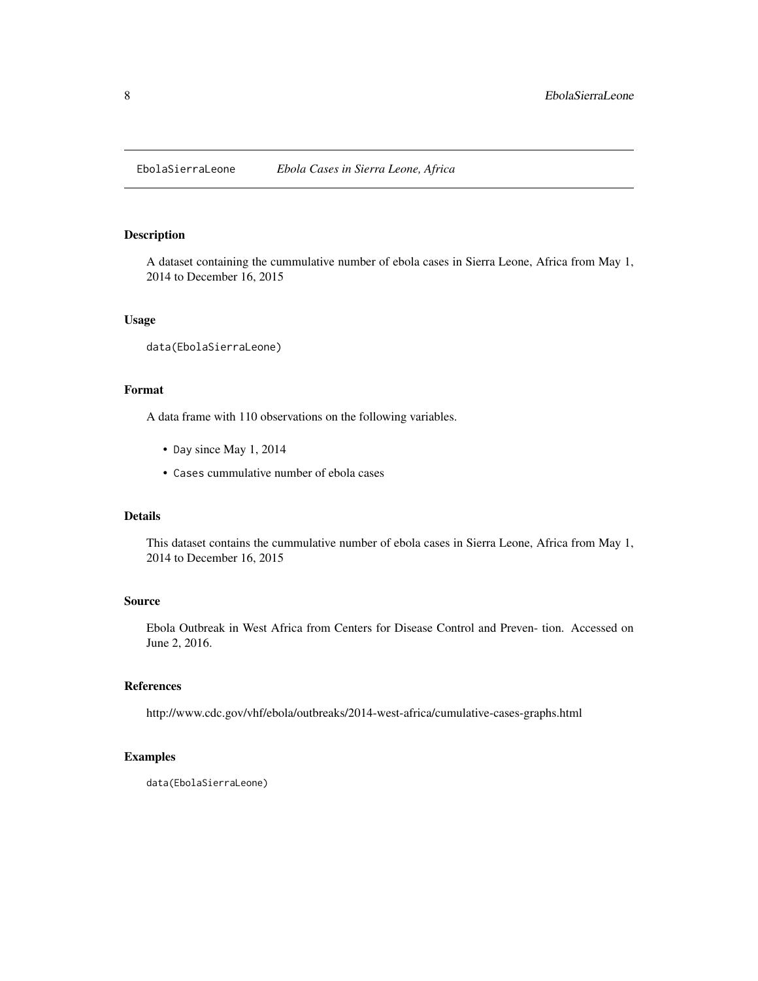<span id="page-7-0"></span>EbolaSierraLeone *Ebola Cases in Sierra Leone, Africa*

#### Description

A dataset containing the cummulative number of ebola cases in Sierra Leone, Africa from May 1, 2014 to December 16, 2015

## Usage

data(EbolaSierraLeone)

## Format

A data frame with 110 observations on the following variables.

- Day since May 1, 2014
- Cases cummulative number of ebola cases

#### Details

This dataset contains the cummulative number of ebola cases in Sierra Leone, Africa from May 1, 2014 to December 16, 2015

#### Source

Ebola Outbreak in West Africa from Centers for Disease Control and Preven- tion. Accessed on June 2, 2016.

#### References

http://www.cdc.gov/vhf/ebola/outbreaks/2014-west-africa/cumulative-cases-graphs.html

```
data(EbolaSierraLeone)
```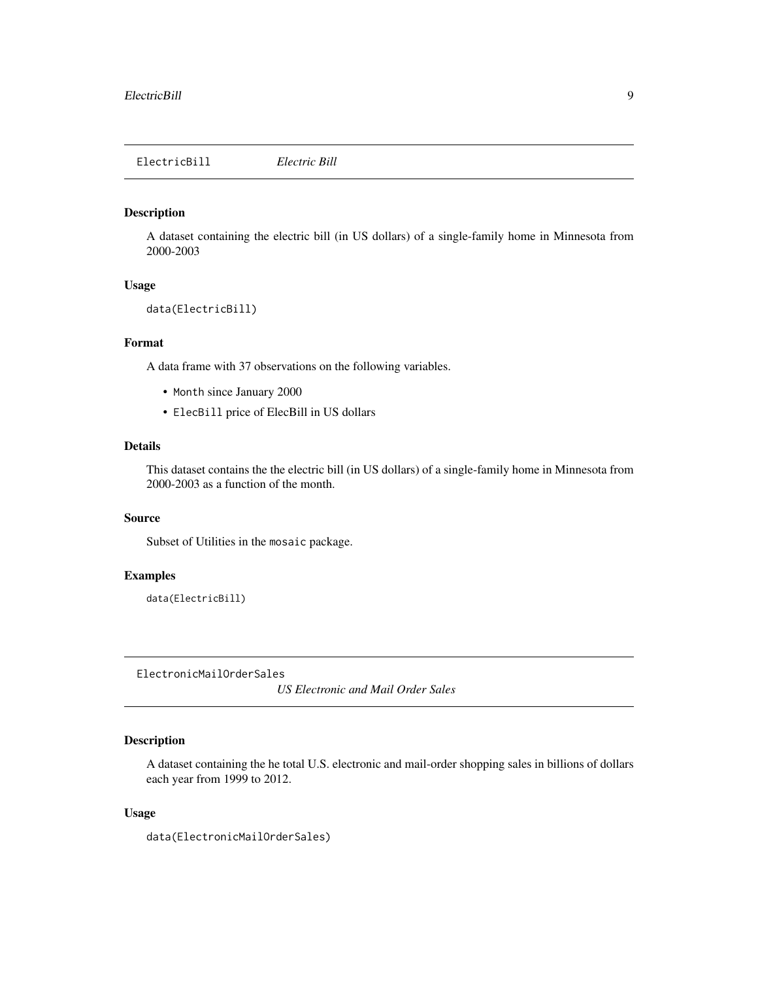<span id="page-8-0"></span>ElectricBill *Electric Bill*

## Description

A dataset containing the electric bill (in US dollars) of a single-family home in Minnesota from 2000-2003

## Usage

```
data(ElectricBill)
```
## Format

A data frame with 37 observations on the following variables.

- Month since January 2000
- ElecBill price of ElecBill in US dollars

## Details

This dataset contains the the electric bill (in US dollars) of a single-family home in Minnesota from 2000-2003 as a function of the month.

## Source

Subset of Utilities in the mosaic package.

#### Examples

data(ElectricBill)

ElectronicMailOrderSales

*US Electronic and Mail Order Sales*

## Description

A dataset containing the he total U.S. electronic and mail-order shopping sales in billions of dollars each year from 1999 to 2012.

#### Usage

data(ElectronicMailOrderSales)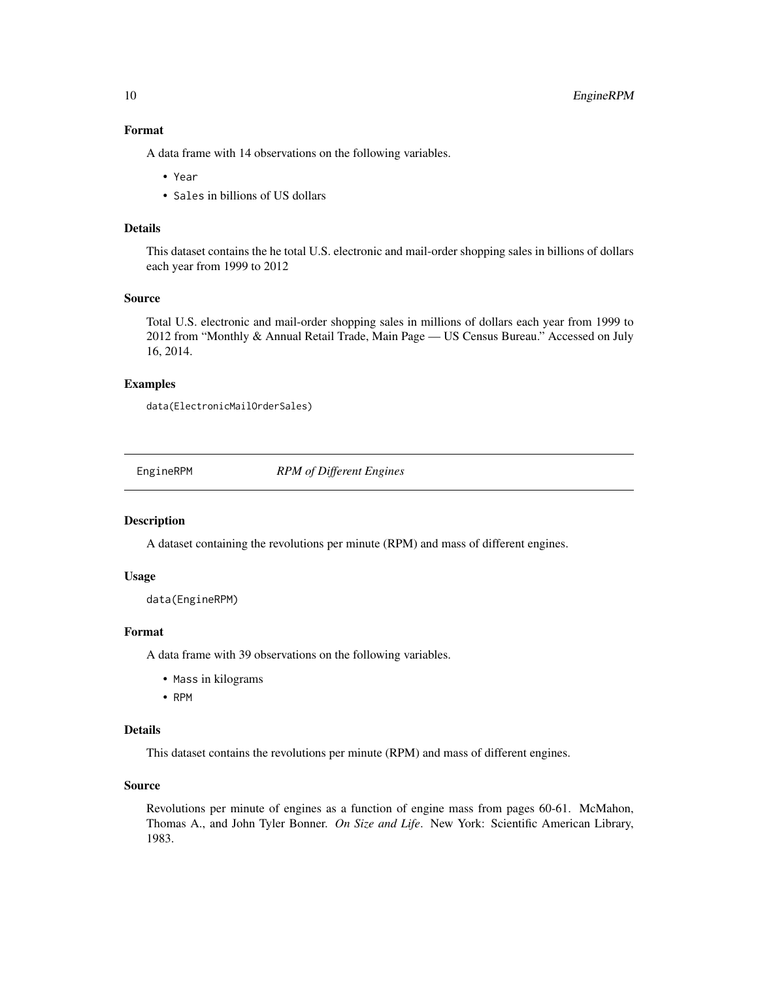### Format

A data frame with 14 observations on the following variables.

- Year
- Sales in billions of US dollars

#### Details

This dataset contains the he total U.S. electronic and mail-order shopping sales in billions of dollars each year from 1999 to 2012

## Source

Total U.S. electronic and mail-order shopping sales in millions of dollars each year from 1999 to 2012 from "Monthly & Annual Retail Trade, Main Page — US Census Bureau." Accessed on July 16, 2014.

#### Examples

data(ElectronicMailOrderSales)

EngineRPM *RPM of Different Engines*

## Description

A dataset containing the revolutions per minute (RPM) and mass of different engines.

#### Usage

data(EngineRPM)

## Format

A data frame with 39 observations on the following variables.

- Mass in kilograms
- RPM

## Details

This dataset contains the revolutions per minute (RPM) and mass of different engines.

## Source

Revolutions per minute of engines as a function of engine mass from pages 60-61. McMahon, Thomas A., and John Tyler Bonner. *On Size and Life*. New York: Scientific American Library, 1983.

<span id="page-9-0"></span>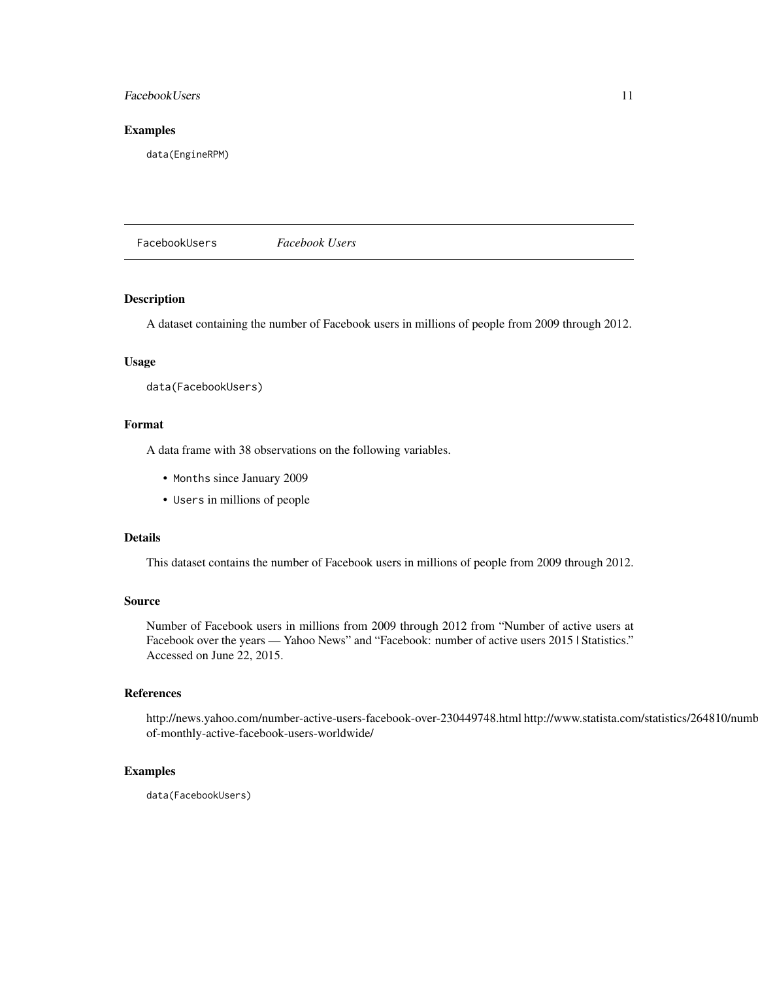## <span id="page-10-0"></span>FacebookUsers 11

#### Examples

data(EngineRPM)

FacebookUsers *Facebook Users*

## Description

A dataset containing the number of Facebook users in millions of people from 2009 through 2012.

## Usage

data(FacebookUsers)

## Format

A data frame with 38 observations on the following variables.

- Months since January 2009
- Users in millions of people

## Details

This dataset contains the number of Facebook users in millions of people from 2009 through 2012.

#### Source

Number of Facebook users in millions from 2009 through 2012 from "Number of active users at Facebook over the years — Yahoo News" and "Facebook: number of active users 2015 | Statistics." Accessed on June 22, 2015.

#### References

http://news.yahoo.com/number-active-users-facebook-over-230449748.html http://www.statista.com/statistics/264810/numberof-monthly-active-facebook-users-worldwide/

#### Examples

data(FacebookUsers)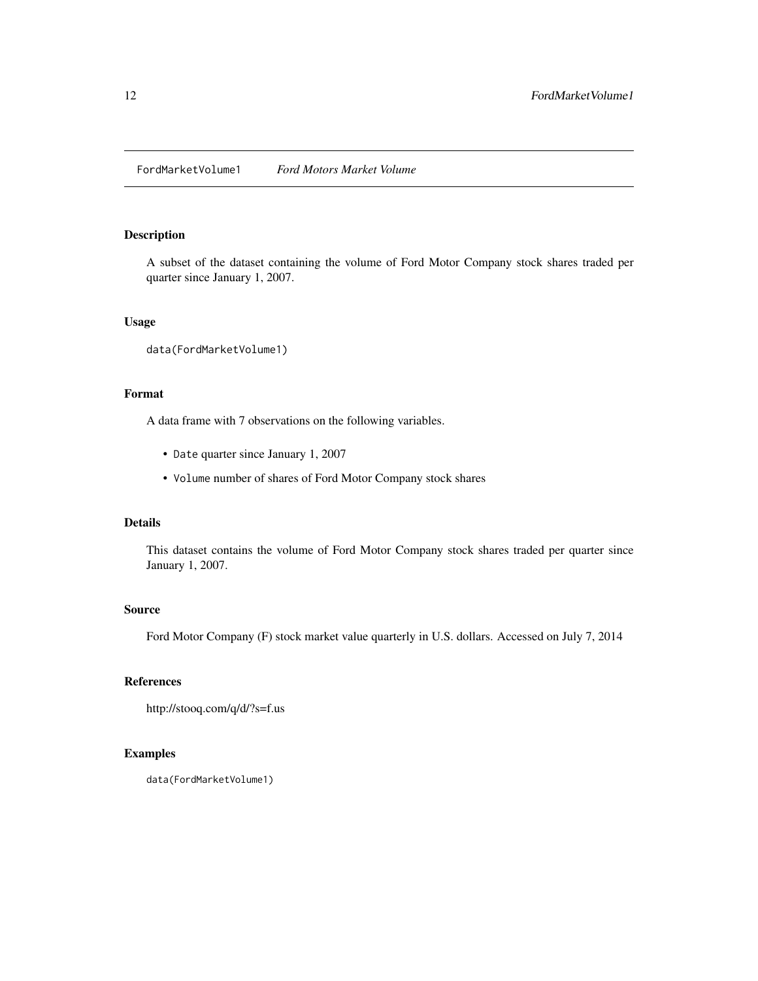<span id="page-11-0"></span>FordMarketVolume1 *Ford Motors Market Volume*

## Description

A subset of the dataset containing the volume of Ford Motor Company stock shares traded per quarter since January 1, 2007.

## Usage

data(FordMarketVolume1)

## Format

A data frame with 7 observations on the following variables.

- Date quarter since January 1, 2007
- Volume number of shares of Ford Motor Company stock shares

## Details

This dataset contains the volume of Ford Motor Company stock shares traded per quarter since January 1, 2007.

## Source

Ford Motor Company (F) stock market value quarterly in U.S. dollars. Accessed on July 7, 2014

## References

```
http://stooq.com/q/d/?s=f.us
```
## Examples

data(FordMarketVolume1)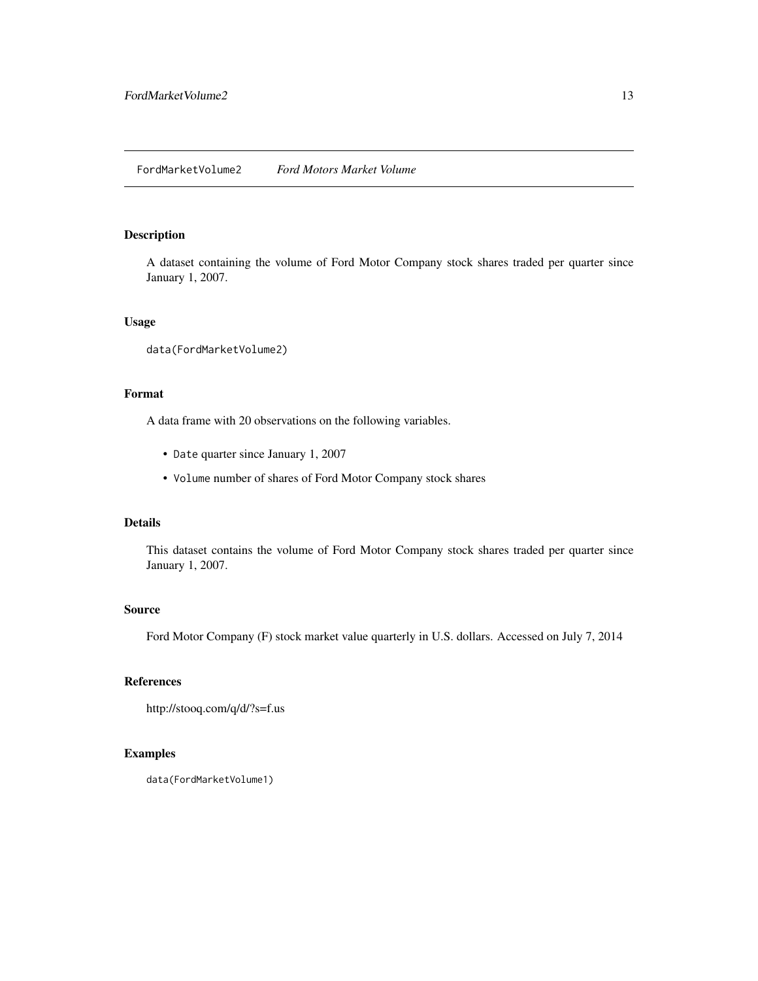<span id="page-12-0"></span>A dataset containing the volume of Ford Motor Company stock shares traded per quarter since January 1, 2007.

## Usage

data(FordMarketVolume2)

## Format

A data frame with 20 observations on the following variables.

- Date quarter since January 1, 2007
- Volume number of shares of Ford Motor Company stock shares

## Details

This dataset contains the volume of Ford Motor Company stock shares traded per quarter since January 1, 2007.

## Source

Ford Motor Company (F) stock market value quarterly in U.S. dollars. Accessed on July 7, 2014

## References

```
http://stooq.com/q/d/?s=f.us
```
## Examples

data(FordMarketVolume1)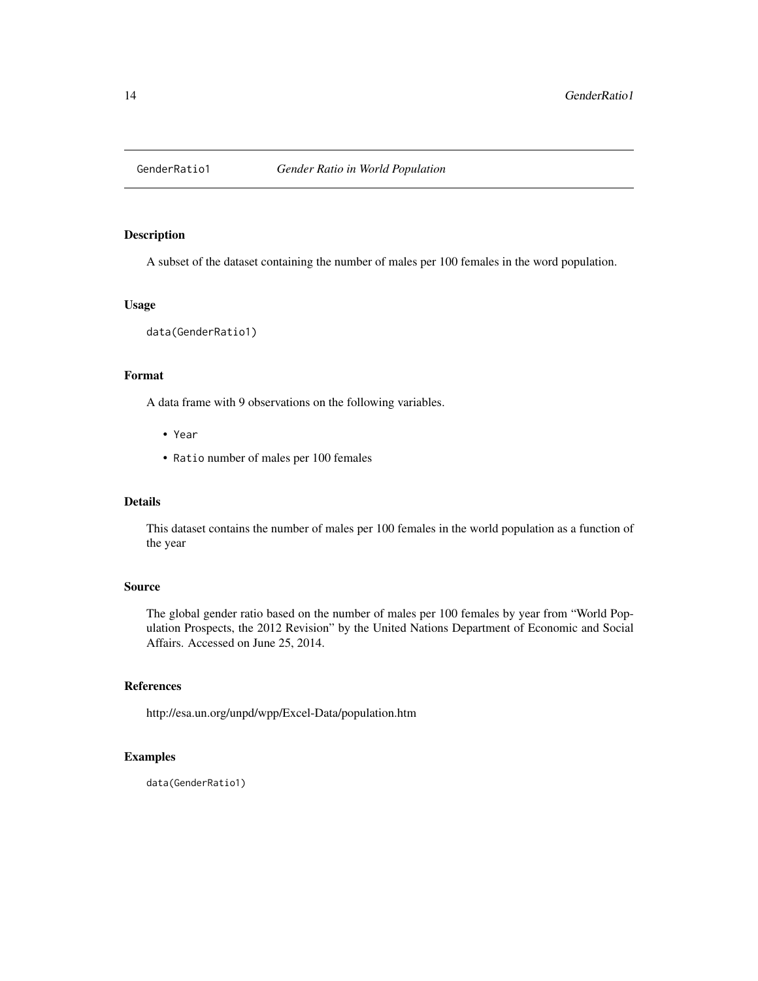<span id="page-13-0"></span>

A subset of the dataset containing the number of males per 100 females in the word population.

## Usage

data(GenderRatio1)

## Format

A data frame with 9 observations on the following variables.

- Year
- Ratio number of males per 100 females

## Details

This dataset contains the number of males per 100 females in the world population as a function of the year

## Source

The global gender ratio based on the number of males per 100 females by year from "World Population Prospects, the 2012 Revision" by the United Nations Department of Economic and Social Affairs. Accessed on June 25, 2014.

#### References

http://esa.un.org/unpd/wpp/Excel-Data/population.htm

## Examples

data(GenderRatio1)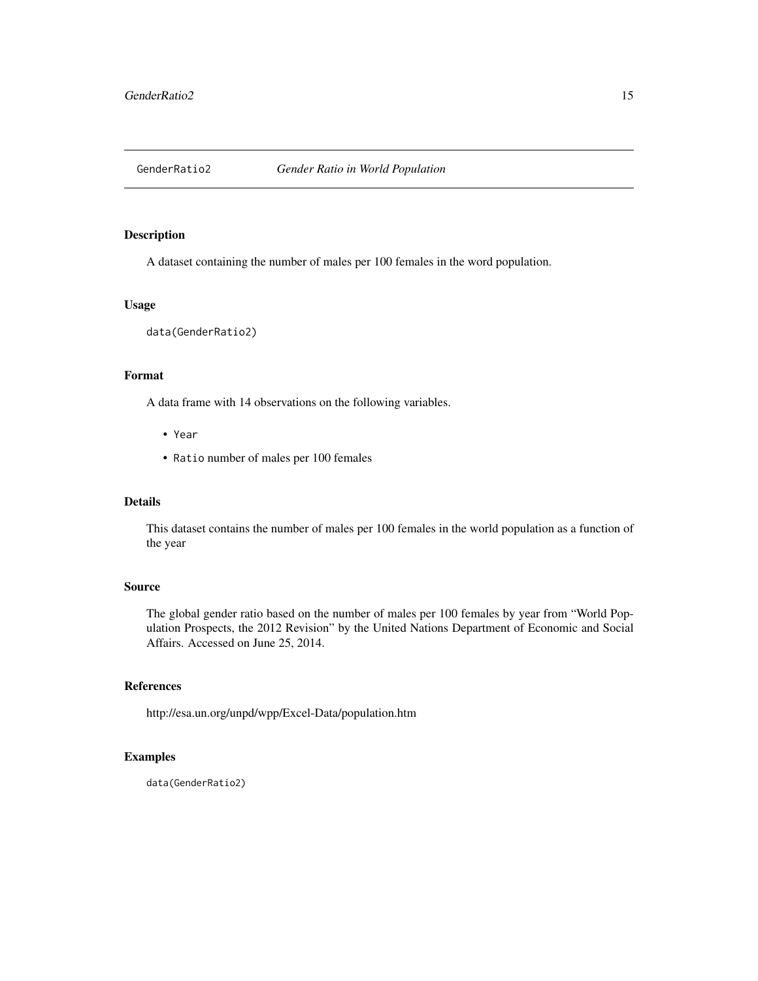<span id="page-14-0"></span>

A dataset containing the number of males per 100 females in the word population.

## Usage

data(GenderRatio2)

## Format

A data frame with 14 observations on the following variables.

- Year
- Ratio number of males per 100 females

## Details

This dataset contains the number of males per 100 females in the world population as a function of the year

## Source

The global gender ratio based on the number of males per 100 females by year from "World Population Prospects, the 2012 Revision" by the United Nations Department of Economic and Social Affairs. Accessed on June 25, 2014.

## References

http://esa.un.org/unpd/wpp/Excel-Data/population.htm

## Examples

data(GenderRatio2)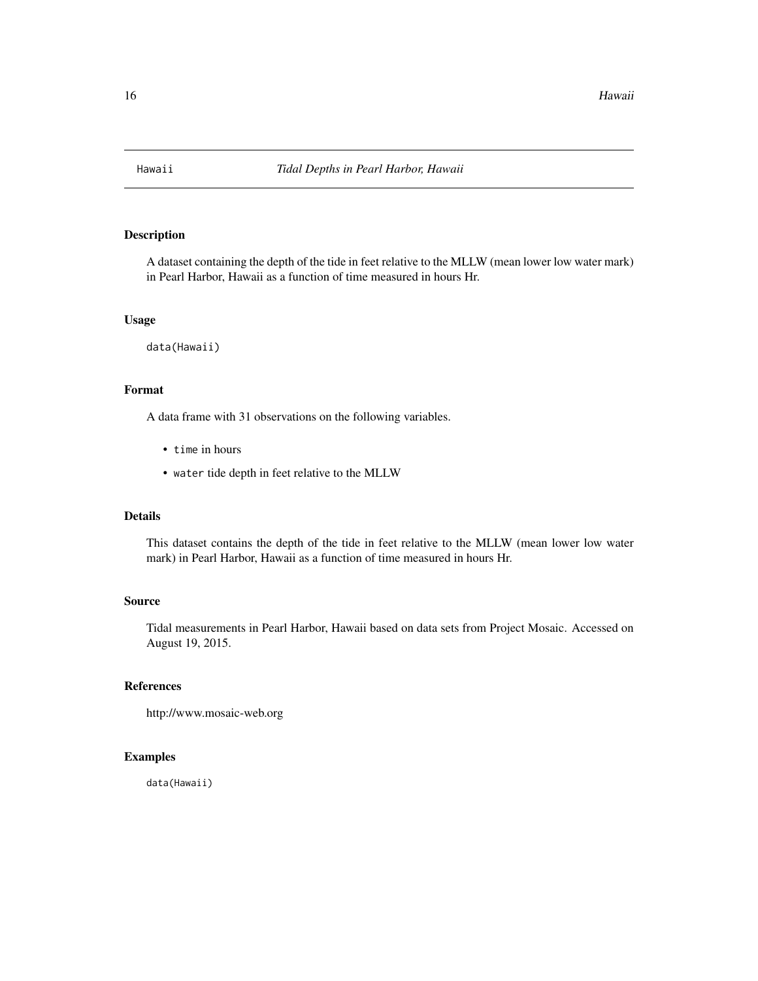<span id="page-15-0"></span>

A dataset containing the depth of the tide in feet relative to the MLLW (mean lower low water mark) in Pearl Harbor, Hawaii as a function of time measured in hours Hr.

## Usage

data(Hawaii)

## Format

A data frame with 31 observations on the following variables.

- time in hours
- water tide depth in feet relative to the MLLW

#### Details

This dataset contains the depth of the tide in feet relative to the MLLW (mean lower low water mark) in Pearl Harbor, Hawaii as a function of time measured in hours Hr.

#### Source

Tidal measurements in Pearl Harbor, Hawaii based on data sets from Project Mosaic. Accessed on August 19, 2015.

#### References

http://www.mosaic-web.org

## Examples

data(Hawaii)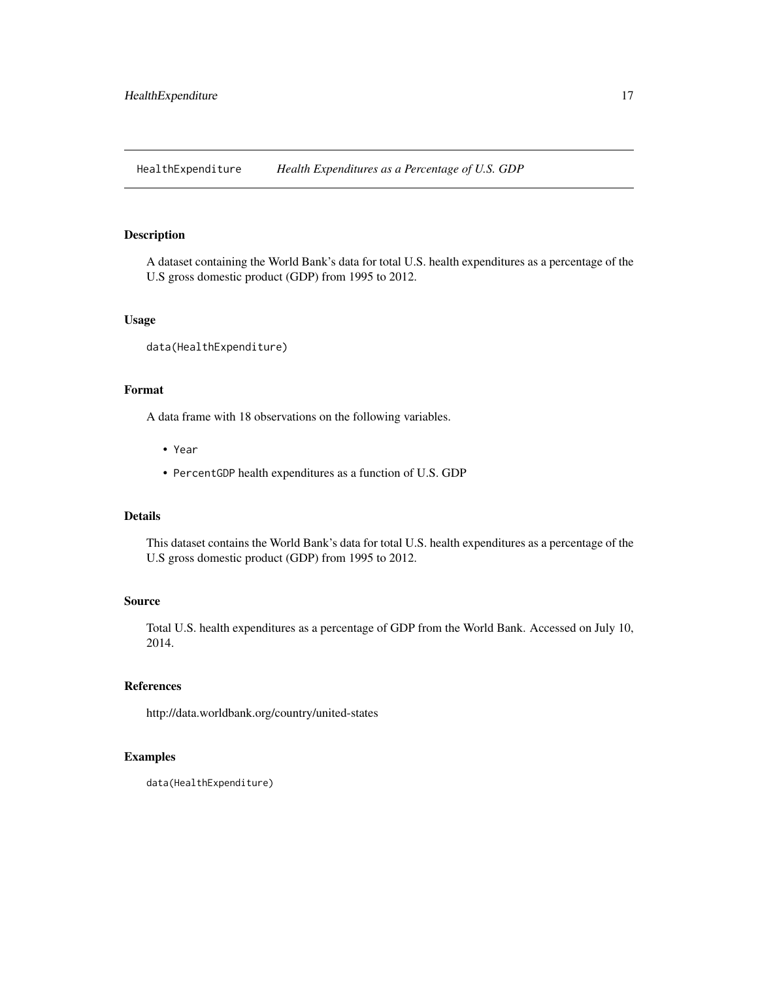<span id="page-16-0"></span>HealthExpenditure *Health Expenditures as a Percentage of U.S. GDP*

#### Description

A dataset containing the World Bank's data for total U.S. health expenditures as a percentage of the U.S gross domestic product (GDP) from 1995 to 2012.

#### Usage

```
data(HealthExpenditure)
```
## Format

A data frame with 18 observations on the following variables.

- Year
- PercentGDP health expenditures as a function of U.S. GDP

#### Details

This dataset contains the World Bank's data for total U.S. health expenditures as a percentage of the U.S gross domestic product (GDP) from 1995 to 2012.

## Source

Total U.S. health expenditures as a percentage of GDP from the World Bank. Accessed on July 10, 2014.

## References

http://data.worldbank.org/country/united-states

```
data(HealthExpenditure)
```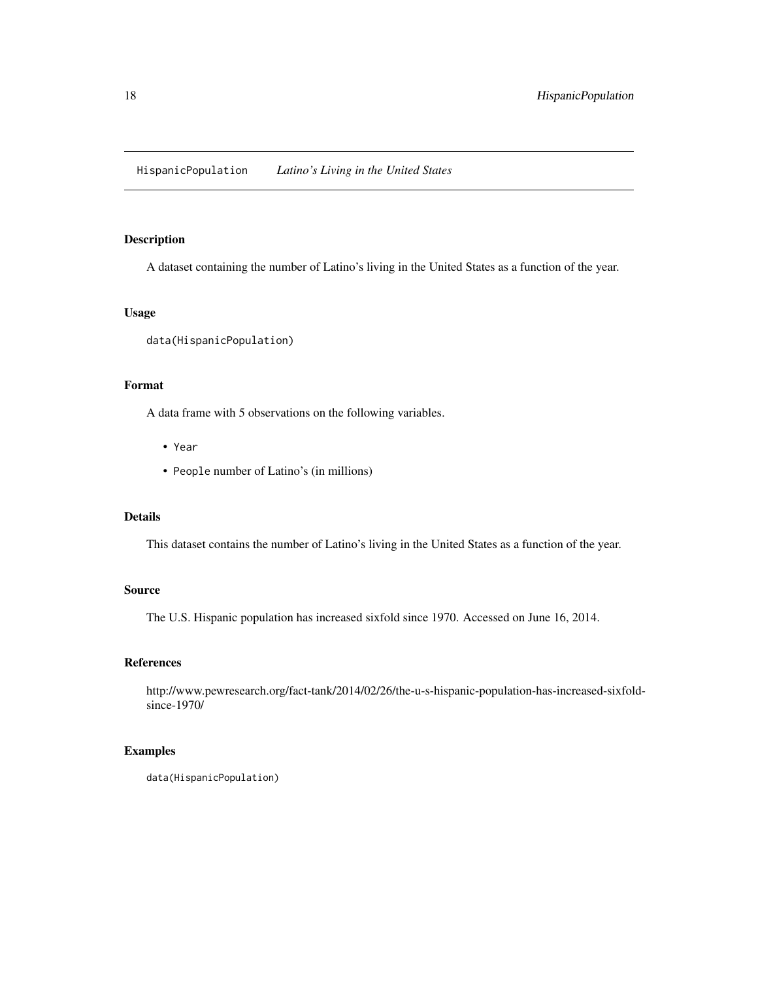<span id="page-17-0"></span>HispanicPopulation *Latino's Living in the United States*

## Description

A dataset containing the number of Latino's living in the United States as a function of the year.

## Usage

data(HispanicPopulation)

#### Format

A data frame with 5 observations on the following variables.

- Year
- People number of Latino's (in millions)

## Details

This dataset contains the number of Latino's living in the United States as a function of the year.

## Source

The U.S. Hispanic population has increased sixfold since 1970. Accessed on June 16, 2014.

## References

http://www.pewresearch.org/fact-tank/2014/02/26/the-u-s-hispanic-population-has-increased-sixfoldsince-1970/

```
data(HispanicPopulation)
```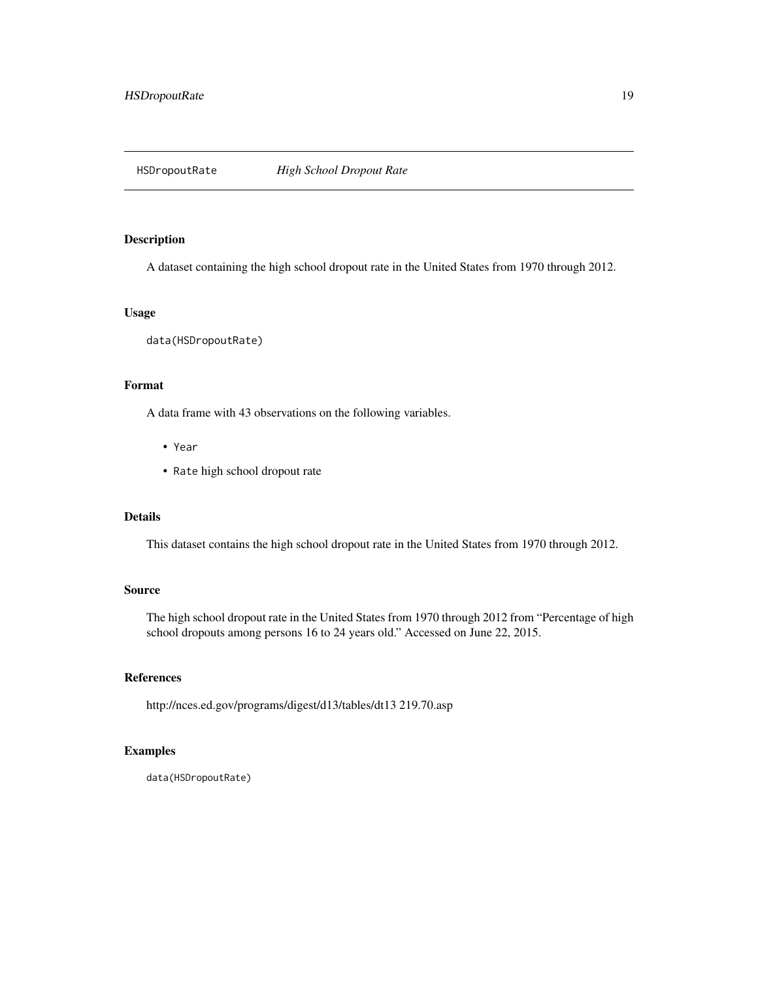<span id="page-18-0"></span>

A dataset containing the high school dropout rate in the United States from 1970 through 2012.

## Usage

data(HSDropoutRate)

#### Format

A data frame with 43 observations on the following variables.

- Year
- Rate high school dropout rate

#### Details

This dataset contains the high school dropout rate in the United States from 1970 through 2012.

## Source

The high school dropout rate in the United States from 1970 through 2012 from "Percentage of high school dropouts among persons 16 to 24 years old." Accessed on June 22, 2015.

#### References

http://nces.ed.gov/programs/digest/d13/tables/dt13 219.70.asp

## Examples

data(HSDropoutRate)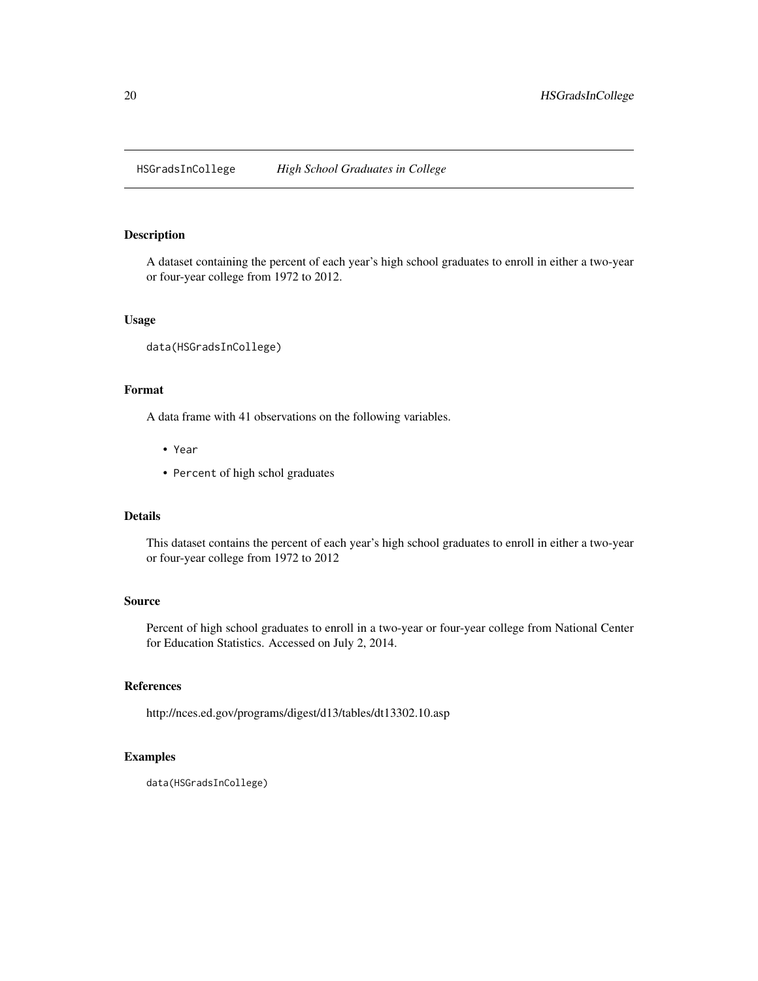<span id="page-19-0"></span>HSGradsInCollege *High School Graduates in College*

#### Description

A dataset containing the percent of each year's high school graduates to enroll in either a two-year or four-year college from 1972 to 2012.

#### Usage

data(HSGradsInCollege)

## Format

A data frame with 41 observations on the following variables.

- Year
- Percent of high schol graduates

#### Details

This dataset contains the percent of each year's high school graduates to enroll in either a two-year or four-year college from 1972 to 2012

#### Source

Percent of high school graduates to enroll in a two-year or four-year college from National Center for Education Statistics. Accessed on July 2, 2014.

## References

http://nces.ed.gov/programs/digest/d13/tables/dt13302.10.asp

```
data(HSGradsInCollege)
```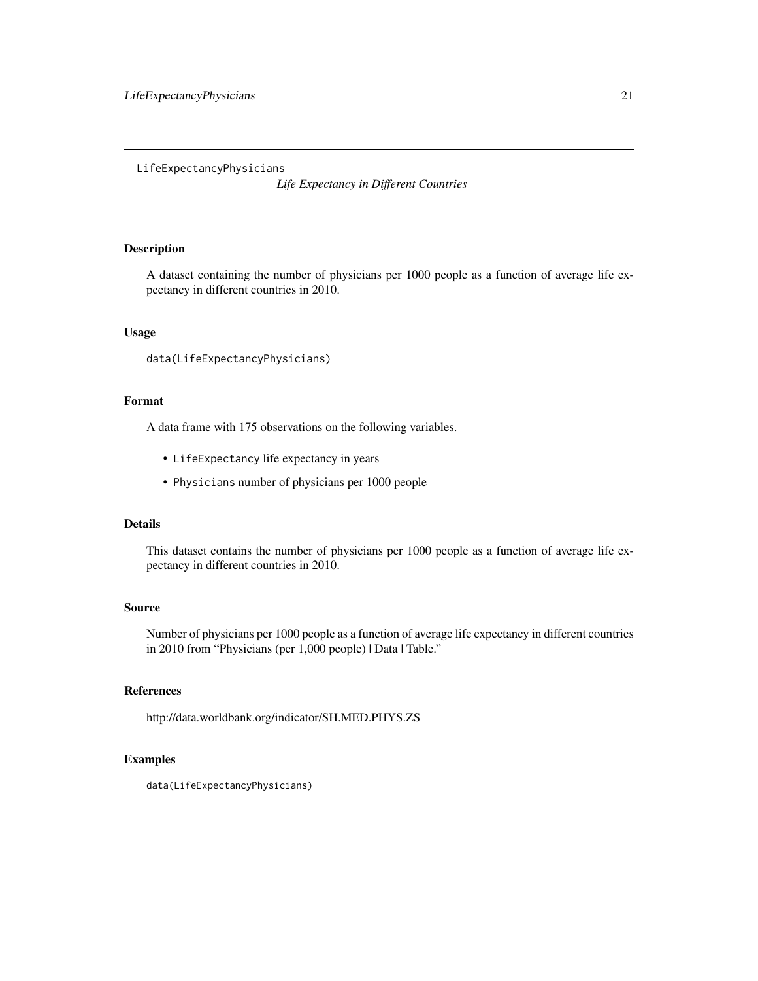#### <span id="page-20-0"></span>LifeExpectancyPhysicians

*Life Expectancy in Different Countries*

## Description

A dataset containing the number of physicians per 1000 people as a function of average life expectancy in different countries in 2010.

#### Usage

```
data(LifeExpectancyPhysicians)
```
## Format

A data frame with 175 observations on the following variables.

- LifeExpectancy life expectancy in years
- Physicians number of physicians per 1000 people

## Details

This dataset contains the number of physicians per 1000 people as a function of average life expectancy in different countries in 2010.

## Source

Number of physicians per 1000 people as a function of average life expectancy in different countries in 2010 from "Physicians (per 1,000 people) | Data | Table."

## References

http://data.worldbank.org/indicator/SH.MED.PHYS.ZS

## Examples

data(LifeExpectancyPhysicians)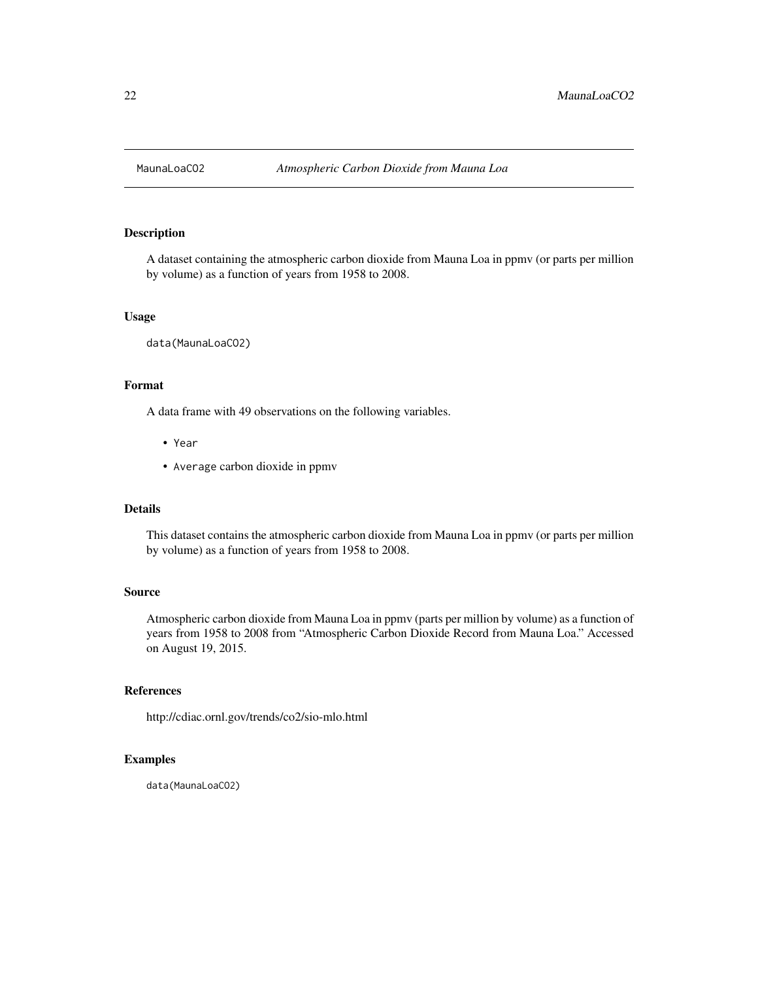<span id="page-21-0"></span>

A dataset containing the atmospheric carbon dioxide from Mauna Loa in ppmv (or parts per million by volume) as a function of years from 1958 to 2008.

#### Usage

data(MaunaLoaCO2)

#### Format

A data frame with 49 observations on the following variables.

- Year
- Average carbon dioxide in ppmv

#### Details

This dataset contains the atmospheric carbon dioxide from Mauna Loa in ppmv (or parts per million by volume) as a function of years from 1958 to 2008.

#### Source

Atmospheric carbon dioxide from Mauna Loa in ppmv (parts per million by volume) as a function of years from 1958 to 2008 from "Atmospheric Carbon Dioxide Record from Mauna Loa." Accessed on August 19, 2015.

## References

http://cdiac.ornl.gov/trends/co2/sio-mlo.html

## Examples

data(MaunaLoaCO2)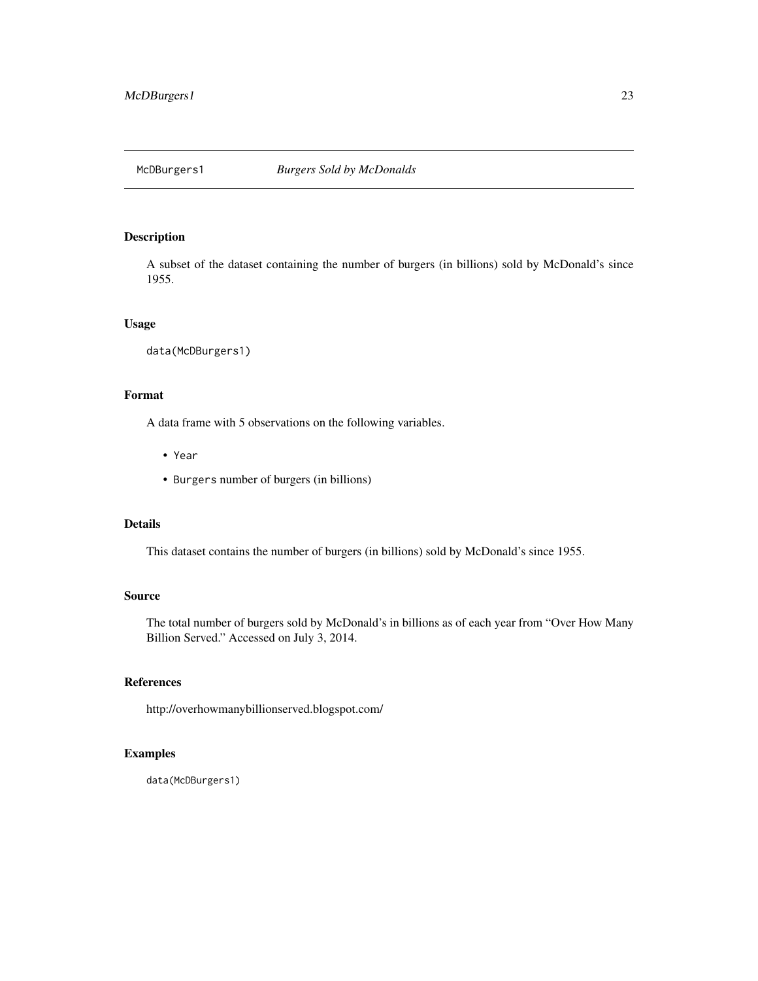<span id="page-22-0"></span>

A subset of the dataset containing the number of burgers (in billions) sold by McDonald's since 1955.

#### Usage

```
data(McDBurgers1)
```
## Format

A data frame with 5 observations on the following variables.

- Year
- Burgers number of burgers (in billions)

## Details

This dataset contains the number of burgers (in billions) sold by McDonald's since 1955.

## Source

The total number of burgers sold by McDonald's in billions as of each year from "Over How Many Billion Served." Accessed on July 3, 2014.

## References

http://overhowmanybillionserved.blogspot.com/

## Examples

data(McDBurgers1)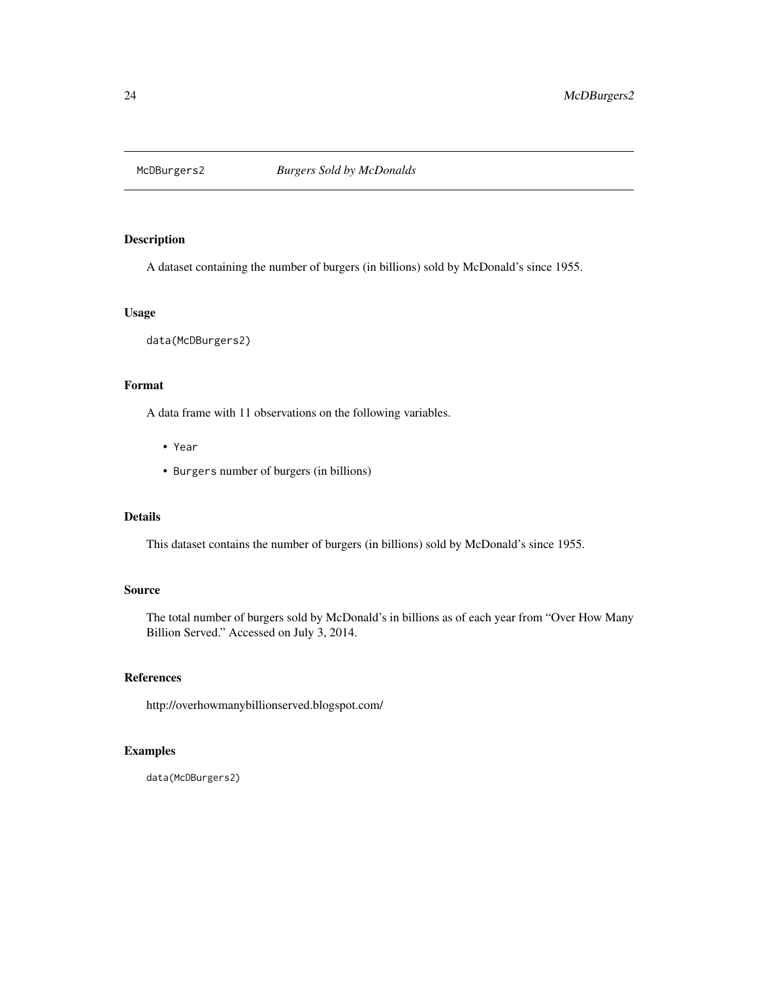<span id="page-23-0"></span>

A dataset containing the number of burgers (in billions) sold by McDonald's since 1955.

## Usage

data(McDBurgers2)

#### Format

A data frame with 11 observations on the following variables.

- Year
- Burgers number of burgers (in billions)

## Details

This dataset contains the number of burgers (in billions) sold by McDonald's since 1955.

## Source

The total number of burgers sold by McDonald's in billions as of each year from "Over How Many Billion Served." Accessed on July 3, 2014.

## References

http://overhowmanybillionserved.blogspot.com/

## Examples

data(McDBurgers2)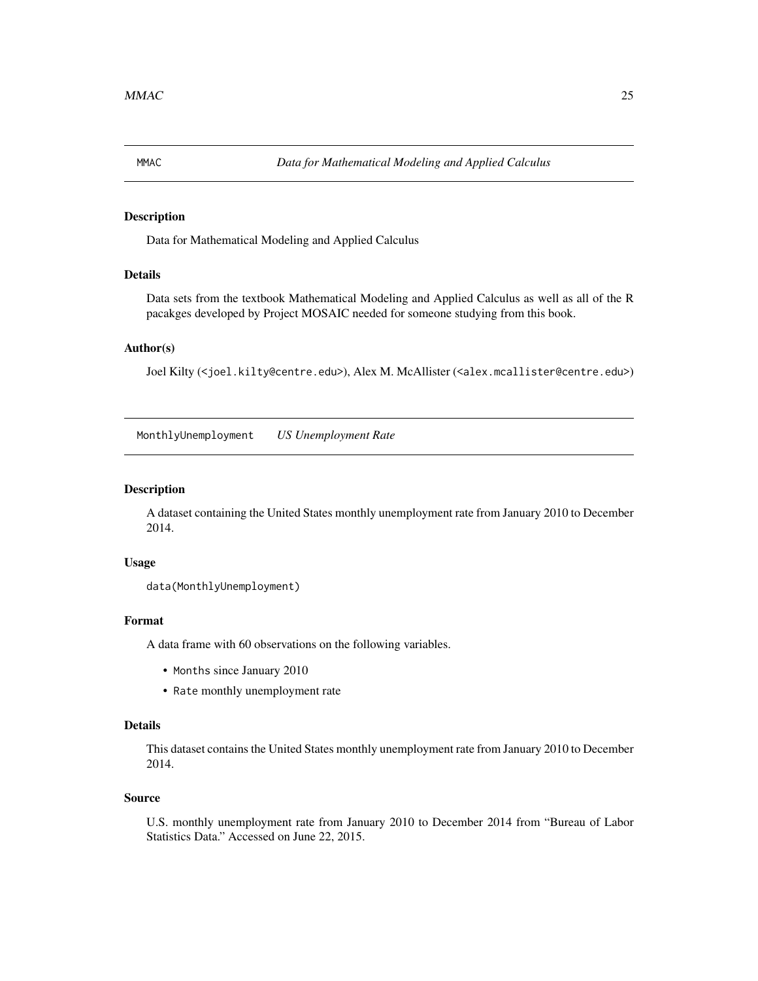<span id="page-24-0"></span>

Data for Mathematical Modeling and Applied Calculus

## Details

Data sets from the textbook Mathematical Modeling and Applied Calculus as well as all of the R pacakges developed by Project MOSAIC needed for someone studying from this book.

## Author(s)

Joel Kilty (<joel.kilty@centre.edu>), Alex M. McAllister (<alex.mcallister@centre.edu>)

MonthlyUnemployment *US Unemployment Rate*

## Description

A dataset containing the United States monthly unemployment rate from January 2010 to December 2014.

### Usage

```
data(MonthlyUnemployment)
```
#### Format

A data frame with 60 observations on the following variables.

- Months since January 2010
- Rate monthly unemployment rate

#### Details

This dataset contains the United States monthly unemployment rate from January 2010 to December 2014.

## Source

U.S. monthly unemployment rate from January 2010 to December 2014 from "Bureau of Labor Statistics Data." Accessed on June 22, 2015.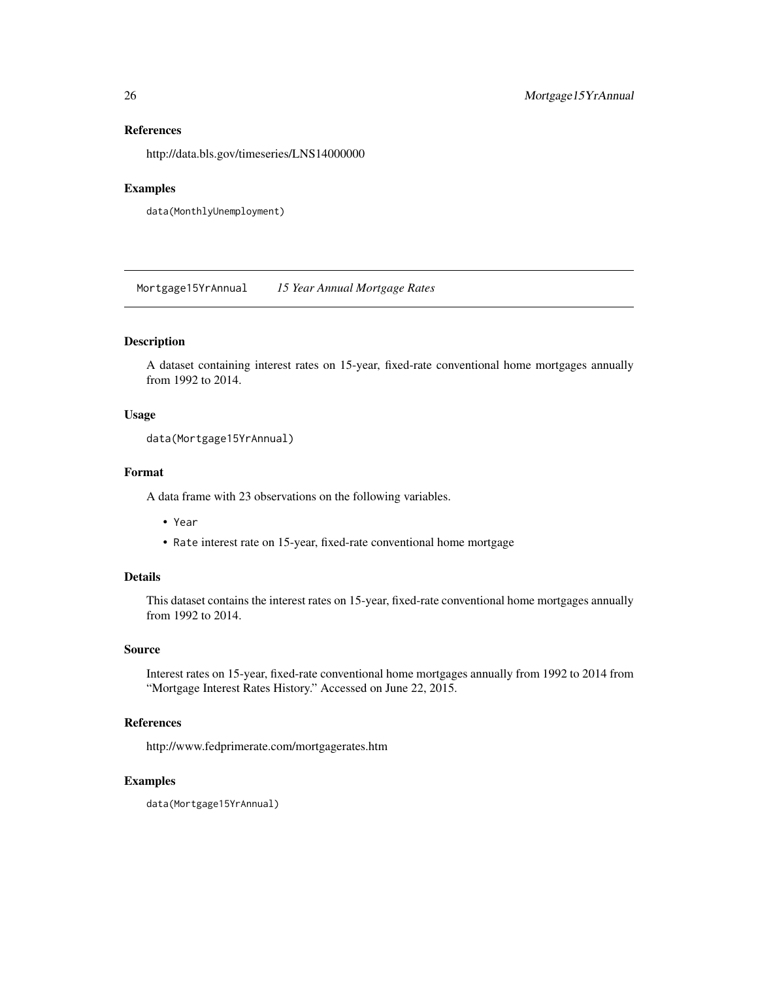## References

http://data.bls.gov/timeseries/LNS14000000

## Examples

```
data(MonthlyUnemployment)
```
Mortgage15YrAnnual *15 Year Annual Mortgage Rates*

## Description

A dataset containing interest rates on 15-year, fixed-rate conventional home mortgages annually from 1992 to 2014.

## Usage

```
data(Mortgage15YrAnnual)
```
## Format

A data frame with 23 observations on the following variables.

- Year
- Rate interest rate on 15-year, fixed-rate conventional home mortgage

## Details

This dataset contains the interest rates on 15-year, fixed-rate conventional home mortgages annually from 1992 to 2014.

## Source

Interest rates on 15-year, fixed-rate conventional home mortgages annually from 1992 to 2014 from "Mortgage Interest Rates History." Accessed on June 22, 2015.

#### References

http://www.fedprimerate.com/mortgagerates.htm

## Examples

data(Mortgage15YrAnnual)

<span id="page-25-0"></span>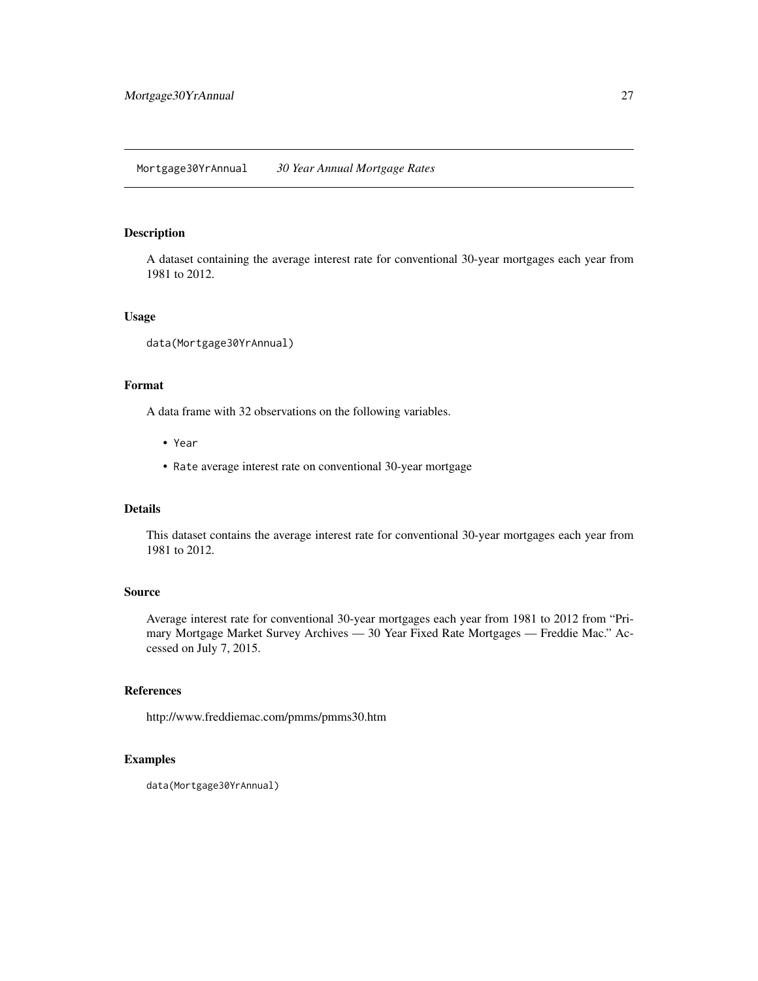<span id="page-26-0"></span>A dataset containing the average interest rate for conventional 30-year mortgages each year from 1981 to 2012.

#### Usage

```
data(Mortgage30YrAnnual)
```
#### Format

A data frame with 32 observations on the following variables.

- Year
- Rate average interest rate on conventional 30-year mortgage

#### Details

This dataset contains the average interest rate for conventional 30-year mortgages each year from 1981 to 2012.

#### Source

Average interest rate for conventional 30-year mortgages each year from 1981 to 2012 from "Primary Mortgage Market Survey Archives — 30 Year Fixed Rate Mortgages — Freddie Mac." Accessed on July 7, 2015.

## References

http://www.freddiemac.com/pmms/pmms30.htm

```
data(Mortgage30YrAnnual)
```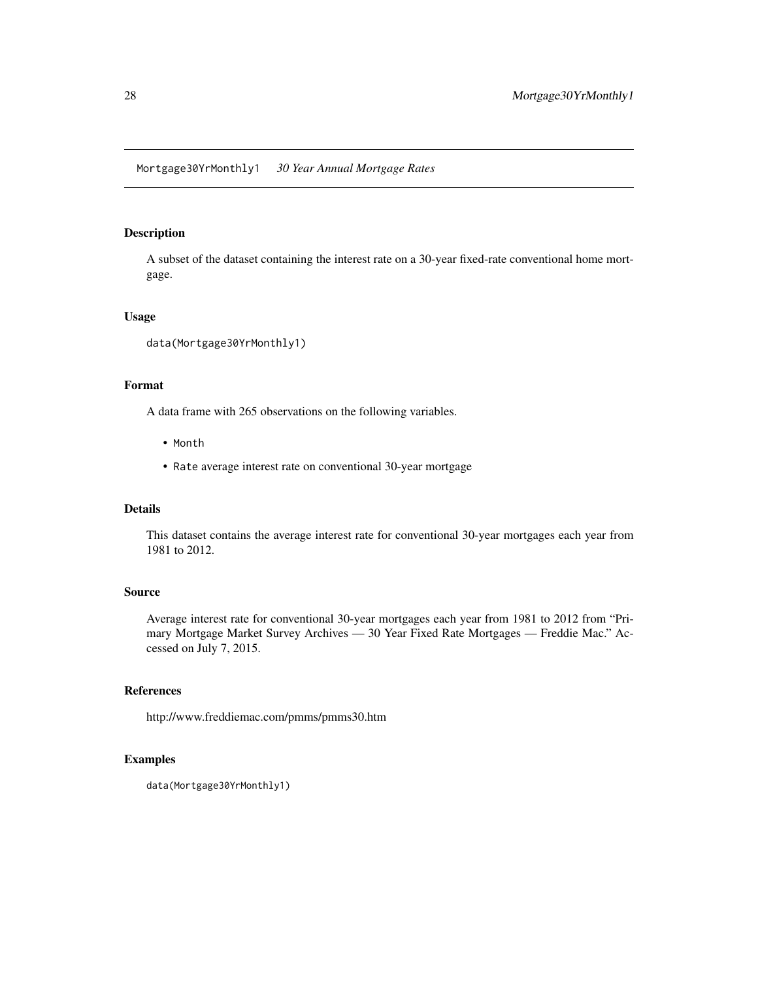<span id="page-27-0"></span>Mortgage30YrMonthly1 *30 Year Annual Mortgage Rates*

## Description

A subset of the dataset containing the interest rate on a 30-year fixed-rate conventional home mortgage.

#### Usage

```
data(Mortgage30YrMonthly1)
```
#### Format

A data frame with 265 observations on the following variables.

- Month
- Rate average interest rate on conventional 30-year mortgage

#### Details

This dataset contains the average interest rate for conventional 30-year mortgages each year from 1981 to 2012.

#### Source

Average interest rate for conventional 30-year mortgages each year from 1981 to 2012 from "Primary Mortgage Market Survey Archives — 30 Year Fixed Rate Mortgages — Freddie Mac." Accessed on July 7, 2015.

## References

http://www.freddiemac.com/pmms/pmms30.htm

```
data(Mortgage30YrMonthly1)
```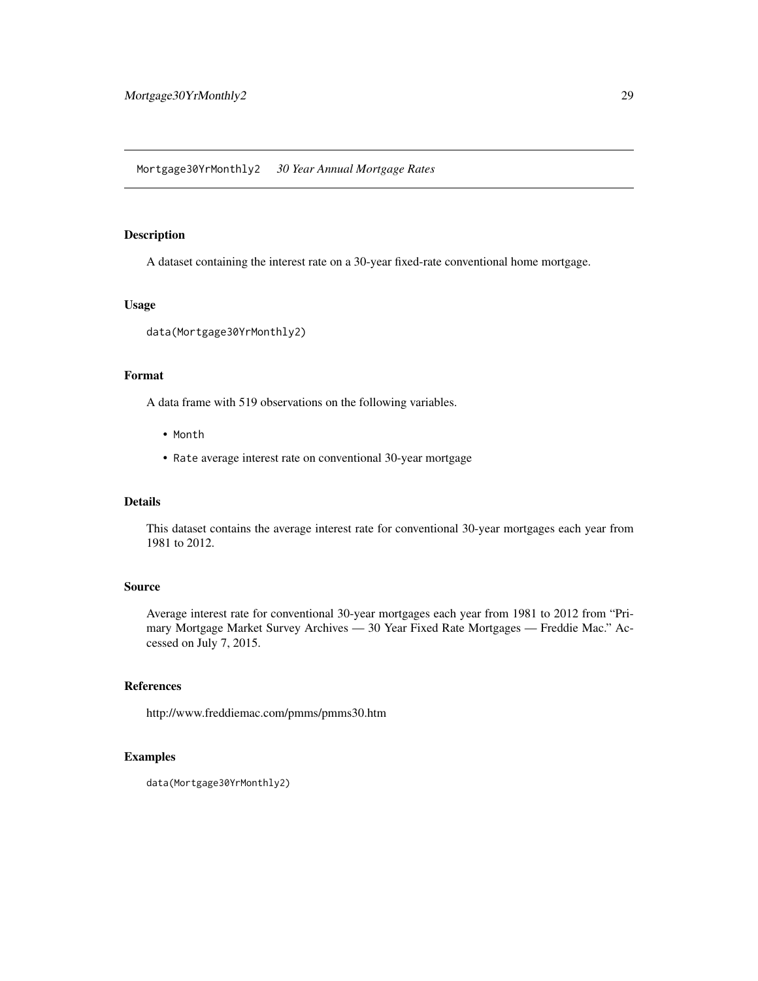<span id="page-28-0"></span>Mortgage30YrMonthly2 *30 Year Annual Mortgage Rates*

#### Description

A dataset containing the interest rate on a 30-year fixed-rate conventional home mortgage.

## Usage

```
data(Mortgage30YrMonthly2)
```
## Format

A data frame with 519 observations on the following variables.

- Month
- Rate average interest rate on conventional 30-year mortgage

## Details

This dataset contains the average interest rate for conventional 30-year mortgages each year from 1981 to 2012.

## Source

Average interest rate for conventional 30-year mortgages each year from 1981 to 2012 from "Primary Mortgage Market Survey Archives — 30 Year Fixed Rate Mortgages — Freddie Mac." Accessed on July 7, 2015.

## References

http://www.freddiemac.com/pmms/pmms30.htm

```
data(Mortgage30YrMonthly2)
```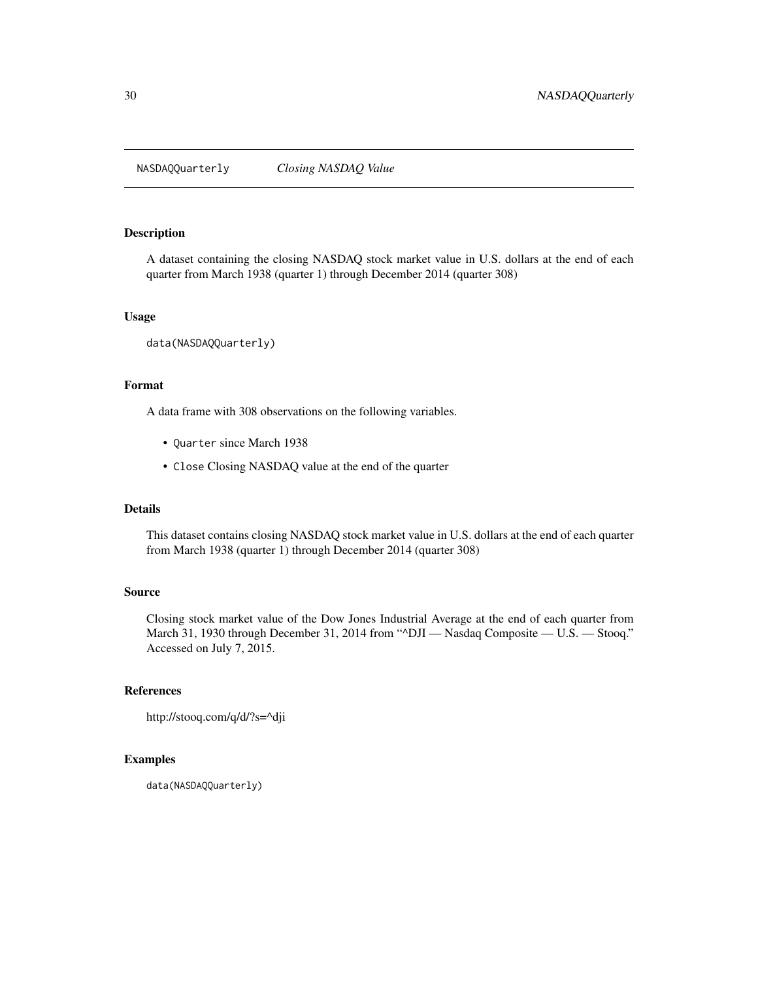<span id="page-29-0"></span>NASDAQQuarterly *Closing NASDAQ Value*

## Description

A dataset containing the closing NASDAQ stock market value in U.S. dollars at the end of each quarter from March 1938 (quarter 1) through December 2014 (quarter 308)

#### Usage

```
data(NASDAQQuarterly)
```
#### Format

A data frame with 308 observations on the following variables.

- Quarter since March 1938
- Close Closing NASDAQ value at the end of the quarter

#### Details

This dataset contains closing NASDAQ stock market value in U.S. dollars at the end of each quarter from March 1938 (quarter 1) through December 2014 (quarter 308)

#### Source

Closing stock market value of the Dow Jones Industrial Average at the end of each quarter from March 31, 1930 through December 31, 2014 from "^DJI - Nasdaq Composite - U.S. - Stooq." Accessed on July 7, 2015.

## References

```
http://stooq.com/q/d/?s=^dji
```
#### Examples

data(NASDAQQuarterly)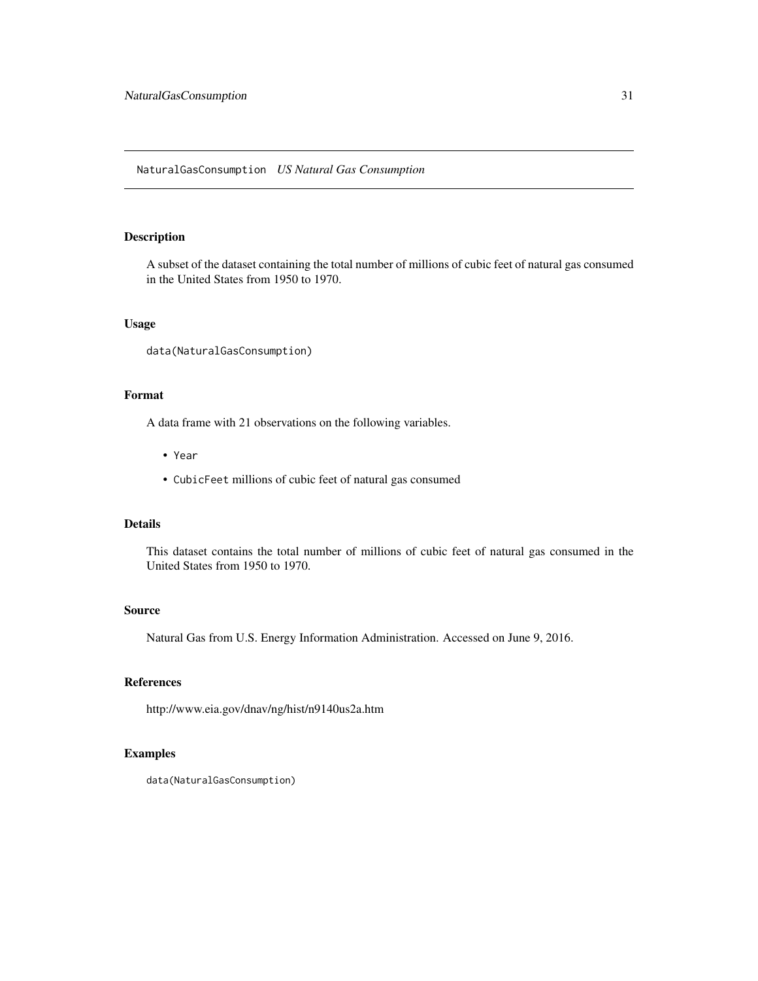<span id="page-30-0"></span>A subset of the dataset containing the total number of millions of cubic feet of natural gas consumed in the United States from 1950 to 1970.

#### Usage

data(NaturalGasConsumption)

## Format

A data frame with 21 observations on the following variables.

- Year
- CubicFeet millions of cubic feet of natural gas consumed

## Details

This dataset contains the total number of millions of cubic feet of natural gas consumed in the United States from 1950 to 1970.

#### Source

Natural Gas from U.S. Energy Information Administration. Accessed on June 9, 2016.

## References

http://www.eia.gov/dnav/ng/hist/n9140us2a.htm

## Examples

data(NaturalGasConsumption)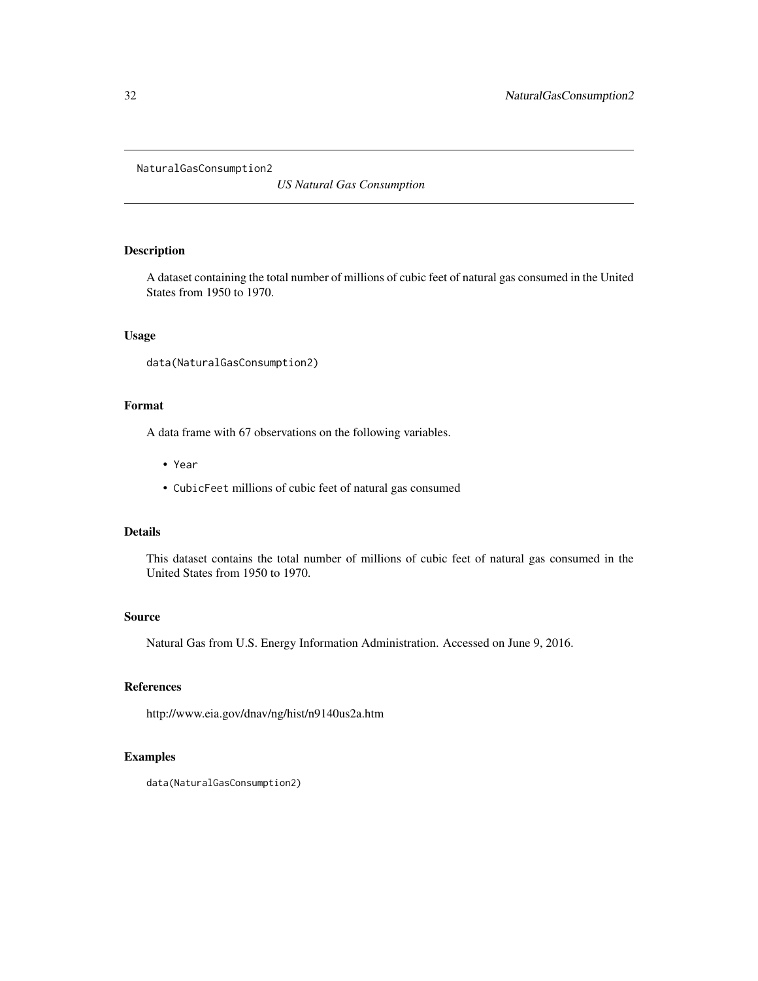<span id="page-31-0"></span>NaturalGasConsumption2

*US Natural Gas Consumption*

## Description

A dataset containing the total number of millions of cubic feet of natural gas consumed in the United States from 1950 to 1970.

#### Usage

```
data(NaturalGasConsumption2)
```
## Format

A data frame with 67 observations on the following variables.

- Year
- CubicFeet millions of cubic feet of natural gas consumed

## Details

This dataset contains the total number of millions of cubic feet of natural gas consumed in the United States from 1950 to 1970.

#### Source

Natural Gas from U.S. Energy Information Administration. Accessed on June 9, 2016.

## References

http://www.eia.gov/dnav/ng/hist/n9140us2a.htm

## Examples

data(NaturalGasConsumption2)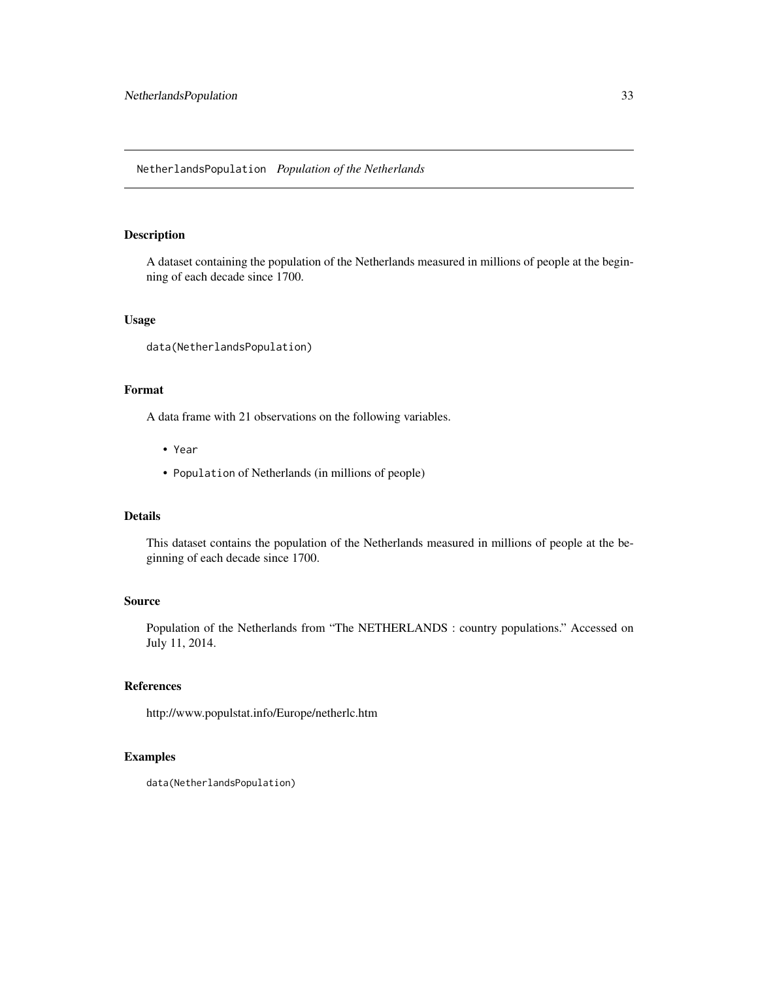<span id="page-32-0"></span>A dataset containing the population of the Netherlands measured in millions of people at the beginning of each decade since 1700.

## Usage

data(NetherlandsPopulation)

## Format

A data frame with 21 observations on the following variables.

- Year
- Population of Netherlands (in millions of people)

#### Details

This dataset contains the population of the Netherlands measured in millions of people at the beginning of each decade since 1700.

#### Source

Population of the Netherlands from "The NETHERLANDS : country populations." Accessed on July 11, 2014.

## References

http://www.populstat.info/Europe/netherlc.htm

```
data(NetherlandsPopulation)
```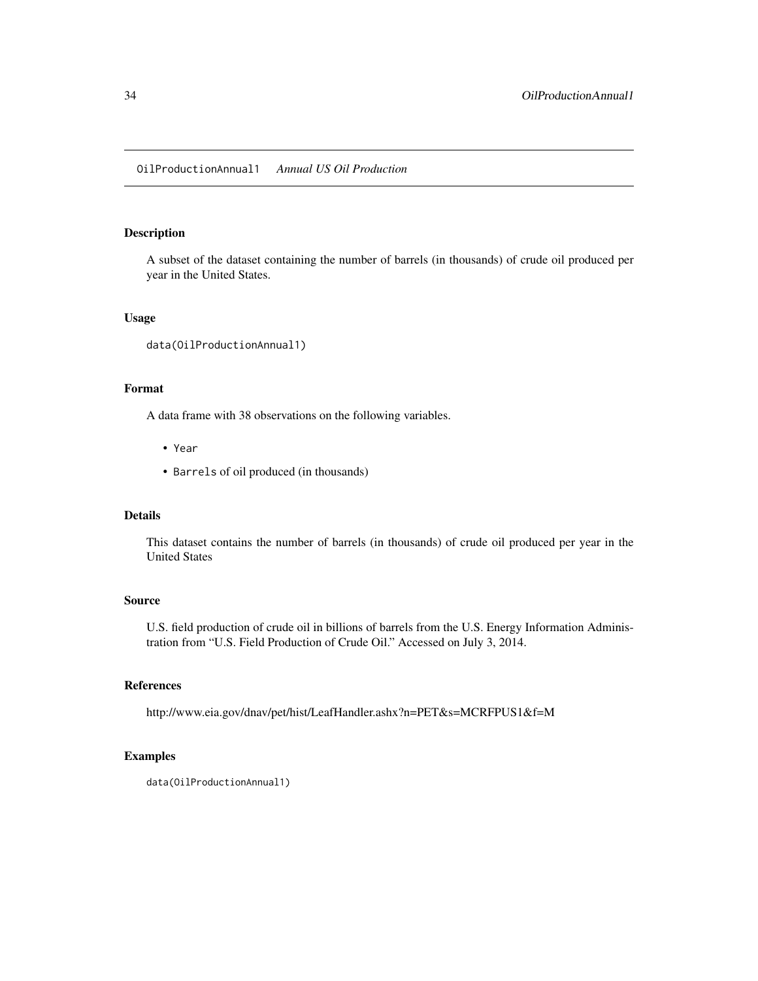<span id="page-33-0"></span>A subset of the dataset containing the number of barrels (in thousands) of crude oil produced per year in the United States.

#### Usage

```
data(OilProductionAnnual1)
```
## Format

A data frame with 38 observations on the following variables.

- Year
- Barrels of oil produced (in thousands)

## Details

This dataset contains the number of barrels (in thousands) of crude oil produced per year in the United States

#### Source

U.S. field production of crude oil in billions of barrels from the U.S. Energy Information Administration from "U.S. Field Production of Crude Oil." Accessed on July 3, 2014.

#### References

http://www.eia.gov/dnav/pet/hist/LeafHandler.ashx?n=PET&s=MCRFPUS1&f=M

```
data(OilProductionAnnual1)
```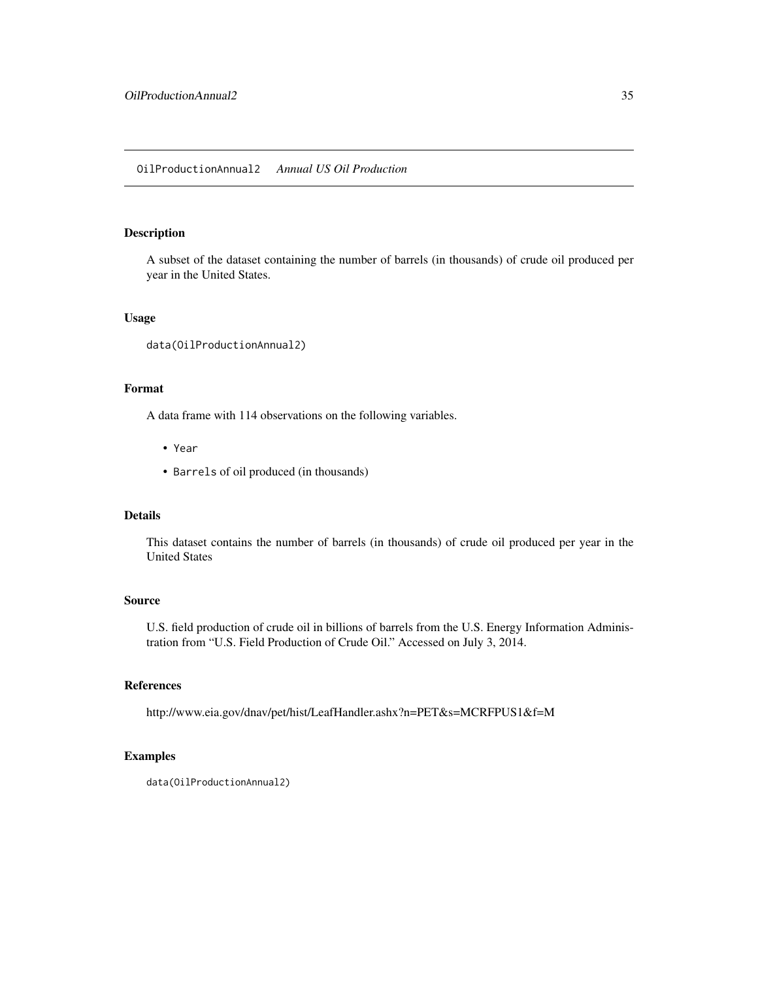<span id="page-34-0"></span>OilProductionAnnual2 *Annual US Oil Production*

## Description

A subset of the dataset containing the number of barrels (in thousands) of crude oil produced per year in the United States.

#### Usage

```
data(OilProductionAnnual2)
```
## Format

A data frame with 114 observations on the following variables.

- Year
- Barrels of oil produced (in thousands)

## Details

This dataset contains the number of barrels (in thousands) of crude oil produced per year in the United States

#### Source

U.S. field production of crude oil in billions of barrels from the U.S. Energy Information Administration from "U.S. Field Production of Crude Oil." Accessed on July 3, 2014.

#### References

http://www.eia.gov/dnav/pet/hist/LeafHandler.ashx?n=PET&s=MCRFPUS1&f=M

```
data(OilProductionAnnual2)
```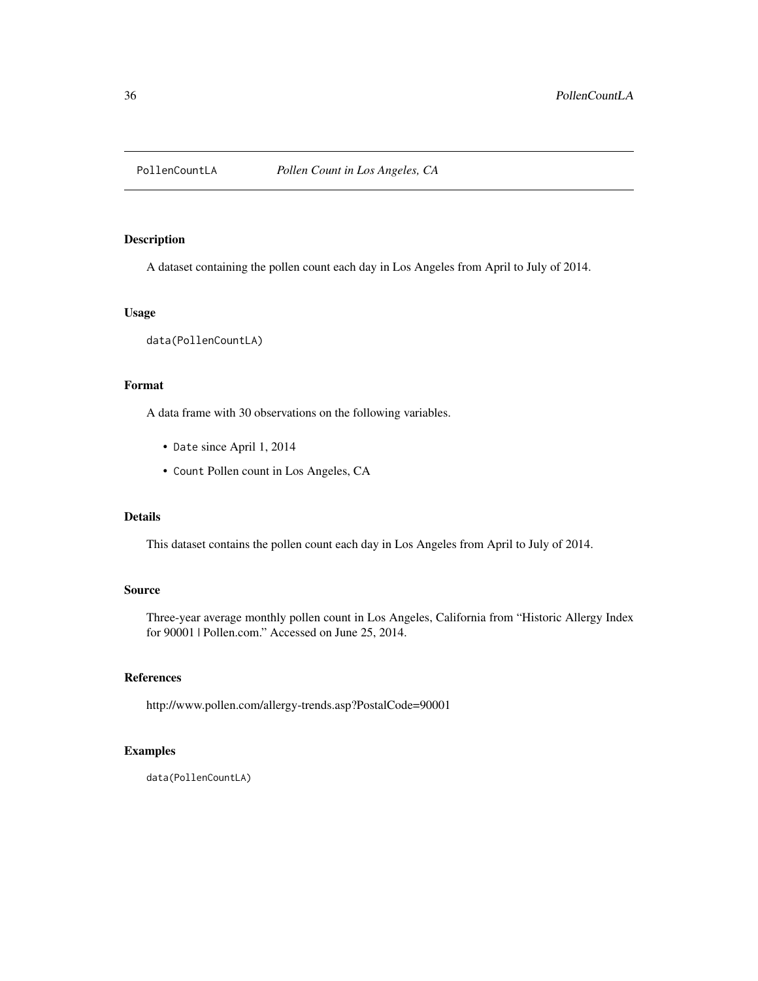<span id="page-35-0"></span>

A dataset containing the pollen count each day in Los Angeles from April to July of 2014.

## Usage

data(PollenCountLA)

#### Format

A data frame with 30 observations on the following variables.

- Date since April 1, 2014
- Count Pollen count in Los Angeles, CA

## Details

This dataset contains the pollen count each day in Los Angeles from April to July of 2014.

## Source

Three-year average monthly pollen count in Los Angeles, California from "Historic Allergy Index for 90001 | Pollen.com." Accessed on June 25, 2014.

#### References

http://www.pollen.com/allergy-trends.asp?PostalCode=90001

## Examples

data(PollenCountLA)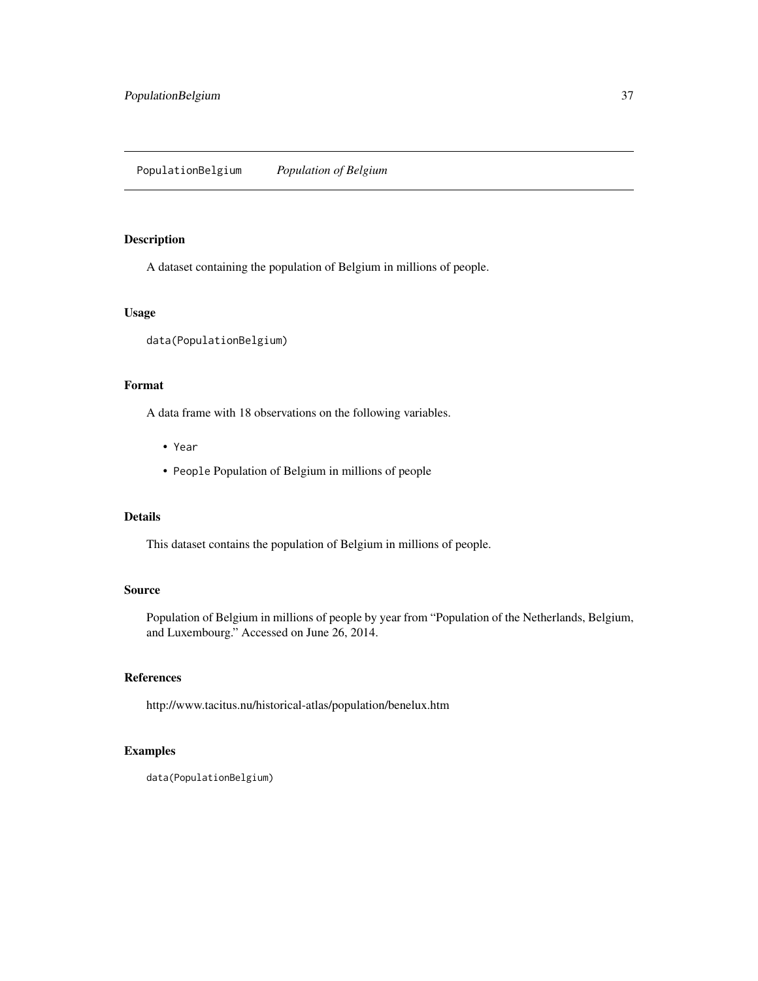<span id="page-36-0"></span>A dataset containing the population of Belgium in millions of people.

## Usage

```
data(PopulationBelgium)
```
#### Format

A data frame with 18 observations on the following variables.

- Year
- People Population of Belgium in millions of people

## Details

This dataset contains the population of Belgium in millions of people.

## Source

Population of Belgium in millions of people by year from "Population of the Netherlands, Belgium, and Luxembourg." Accessed on June 26, 2014.

## References

http://www.tacitus.nu/historical-atlas/population/benelux.htm

## Examples

data(PopulationBelgium)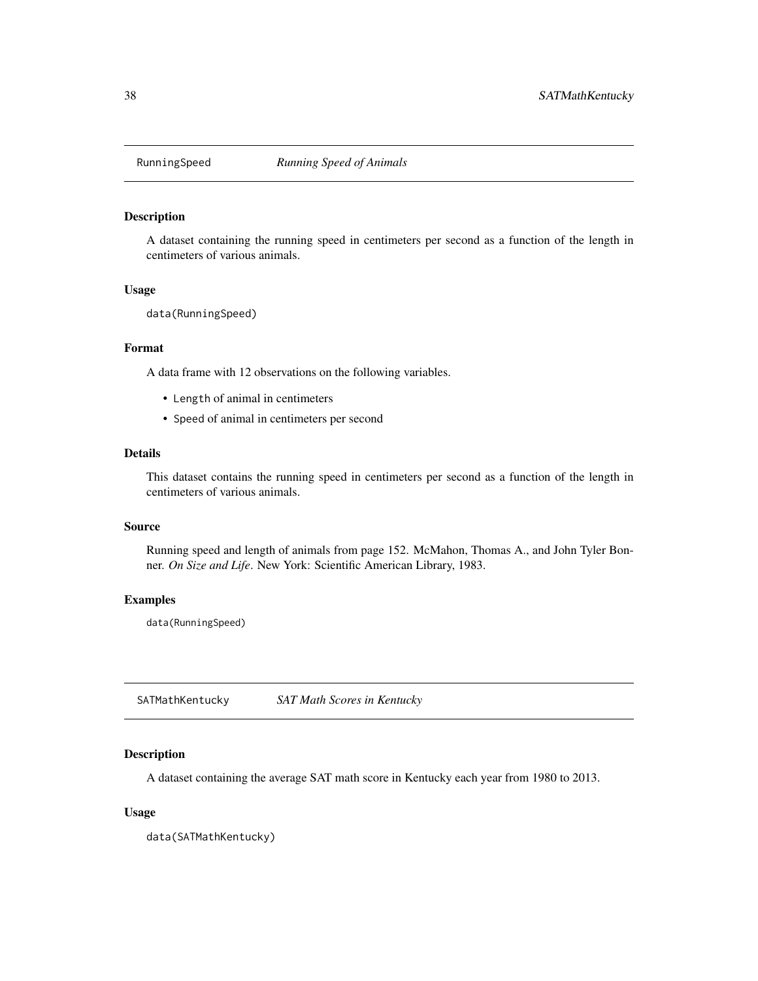<span id="page-37-0"></span>

A dataset containing the running speed in centimeters per second as a function of the length in centimeters of various animals.

#### Usage

data(RunningSpeed)

## Format

A data frame with 12 observations on the following variables.

- Length of animal in centimeters
- Speed of animal in centimeters per second

#### Details

This dataset contains the running speed in centimeters per second as a function of the length in centimeters of various animals.

#### Source

Running speed and length of animals from page 152. McMahon, Thomas A., and John Tyler Bonner. *On Size and Life*. New York: Scientific American Library, 1983.

## Examples

data(RunningSpeed)

SATMathKentucky *SAT Math Scores in Kentucky*

#### Description

A dataset containing the average SAT math score in Kentucky each year from 1980 to 2013.

#### Usage

data(SATMathKentucky)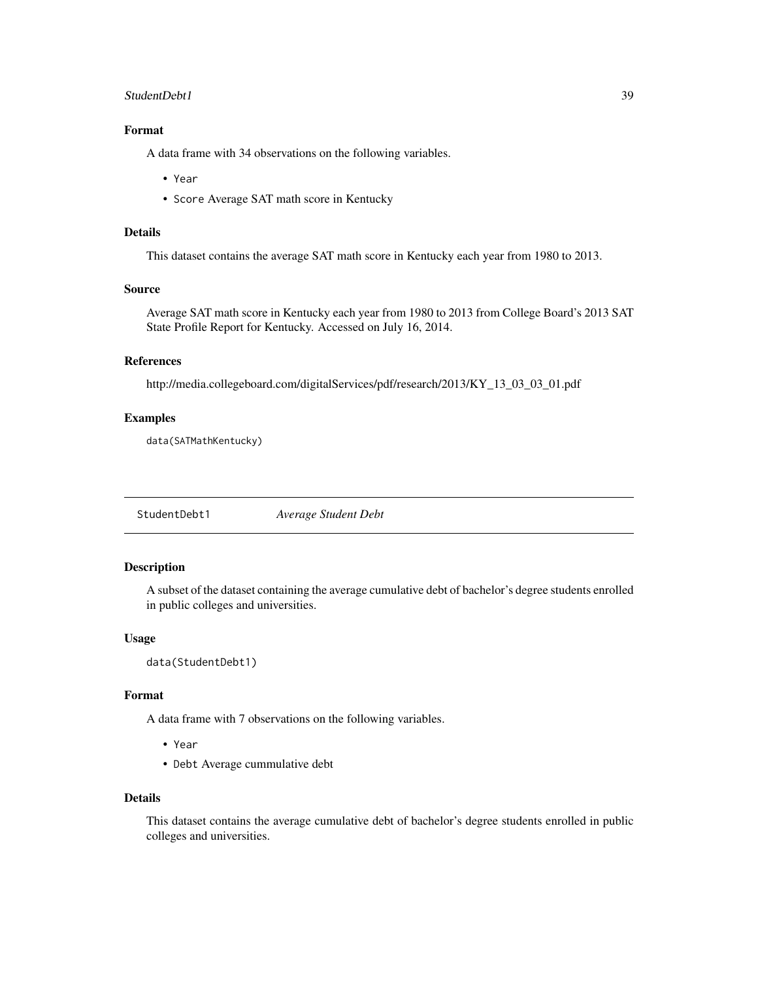#### <span id="page-38-0"></span>StudentDebt1 39

## Format

A data frame with 34 observations on the following variables.

- Year
- Score Average SAT math score in Kentucky

## Details

This dataset contains the average SAT math score in Kentucky each year from 1980 to 2013.

#### Source

Average SAT math score in Kentucky each year from 1980 to 2013 from College Board's 2013 SAT State Profile Report for Kentucky. Accessed on July 16, 2014.

## References

http://media.collegeboard.com/digitalServices/pdf/research/2013/KY\_13\_03\_03\_01.pdf

#### Examples

data(SATMathKentucky)

StudentDebt1 *Average Student Debt*

## Description

A subset of the dataset containing the average cumulative debt of bachelor's degree students enrolled in public colleges and universities.

#### Usage

data(StudentDebt1)

#### Format

A data frame with 7 observations on the following variables.

- Year
- Debt Average cummulative debt

## Details

This dataset contains the average cumulative debt of bachelor's degree students enrolled in public colleges and universities.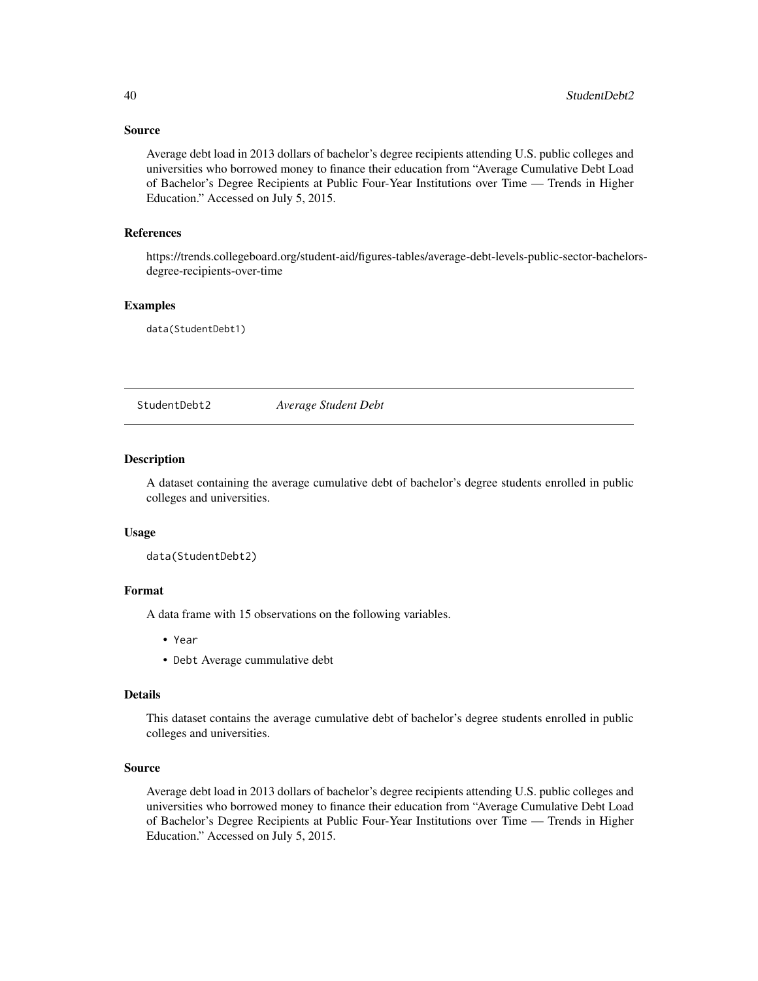## Source

Average debt load in 2013 dollars of bachelor's degree recipients attending U.S. public colleges and universities who borrowed money to finance their education from "Average Cumulative Debt Load of Bachelor's Degree Recipients at Public Four-Year Institutions over Time — Trends in Higher Education." Accessed on July 5, 2015.

## References

https://trends.collegeboard.org/student-aid/figures-tables/average-debt-levels-public-sector-bachelorsdegree-recipients-over-time

## Examples

data(StudentDebt1)

StudentDebt2 *Average Student Debt*

#### Description

A dataset containing the average cumulative debt of bachelor's degree students enrolled in public colleges and universities.

#### Usage

data(StudentDebt2)

#### Format

A data frame with 15 observations on the following variables.

- Year
- Debt Average cummulative debt

#### Details

This dataset contains the average cumulative debt of bachelor's degree students enrolled in public colleges and universities.

#### Source

Average debt load in 2013 dollars of bachelor's degree recipients attending U.S. public colleges and universities who borrowed money to finance their education from "Average Cumulative Debt Load of Bachelor's Degree Recipients at Public Four-Year Institutions over Time — Trends in Higher Education." Accessed on July 5, 2015.

<span id="page-39-0"></span>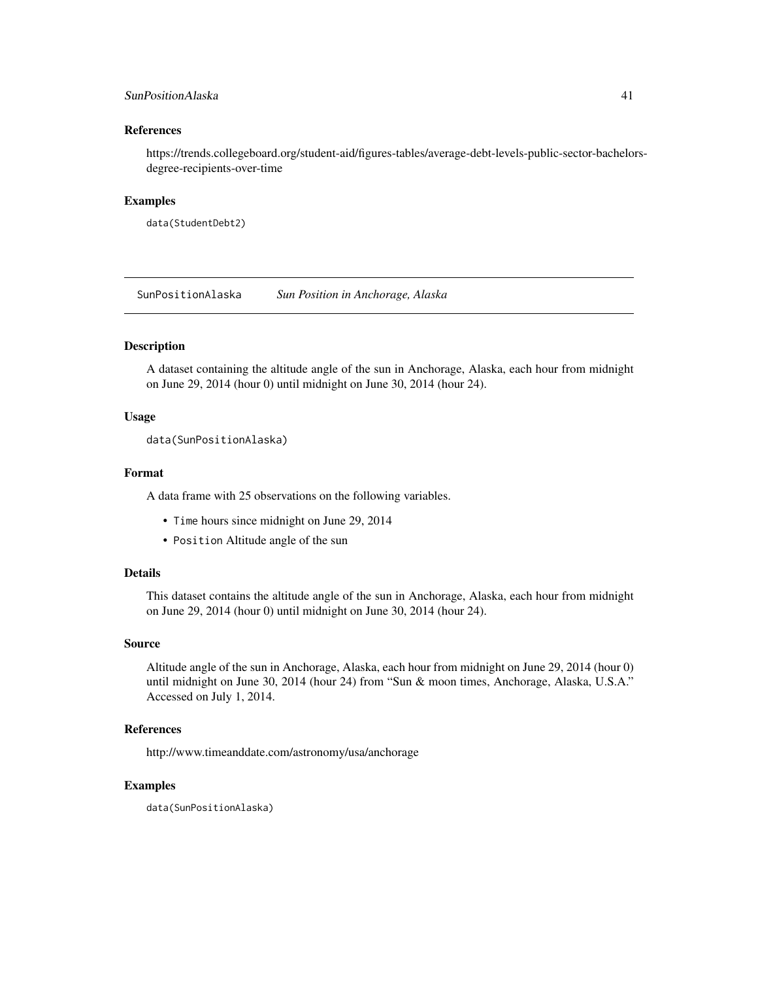## <span id="page-40-0"></span>SunPositionAlaska 41

#### References

https://trends.collegeboard.org/student-aid/figures-tables/average-debt-levels-public-sector-bachelorsdegree-recipients-over-time

#### Examples

data(StudentDebt2)

SunPositionAlaska *Sun Position in Anchorage, Alaska*

## **Description**

A dataset containing the altitude angle of the sun in Anchorage, Alaska, each hour from midnight on June 29, 2014 (hour 0) until midnight on June 30, 2014 (hour 24).

#### Usage

```
data(SunPositionAlaska)
```
## Format

A data frame with 25 observations on the following variables.

- Time hours since midnight on June 29, 2014
- Position Altitude angle of the sun

## Details

This dataset contains the altitude angle of the sun in Anchorage, Alaska, each hour from midnight on June 29, 2014 (hour 0) until midnight on June 30, 2014 (hour 24).

#### Source

Altitude angle of the sun in Anchorage, Alaska, each hour from midnight on June 29, 2014 (hour 0) until midnight on June 30, 2014 (hour 24) from "Sun & moon times, Anchorage, Alaska, U.S.A." Accessed on July 1, 2014.

## References

http://www.timeanddate.com/astronomy/usa/anchorage

#### Examples

data(SunPositionAlaska)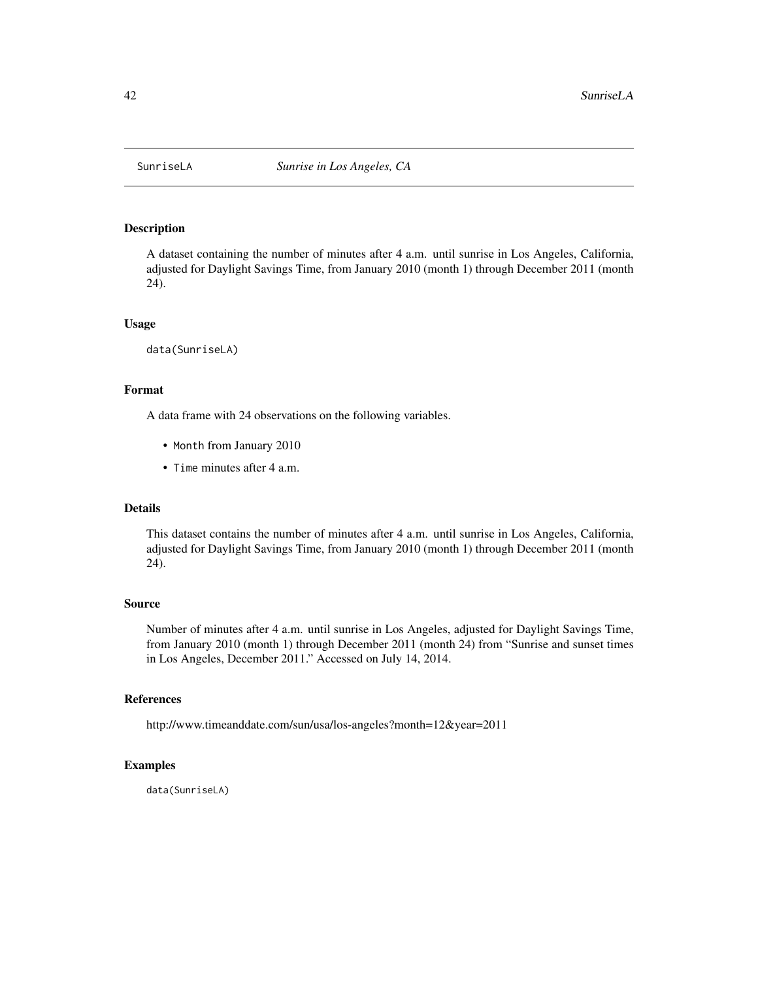<span id="page-41-0"></span>

A dataset containing the number of minutes after 4 a.m. until sunrise in Los Angeles, California, adjusted for Daylight Savings Time, from January 2010 (month 1) through December 2011 (month 24).

#### Usage

data(SunriseLA)

## Format

A data frame with 24 observations on the following variables.

- Month from January 2010
- Time minutes after 4 a.m.

#### Details

This dataset contains the number of minutes after 4 a.m. until sunrise in Los Angeles, California, adjusted for Daylight Savings Time, from January 2010 (month 1) through December 2011 (month 24).

#### Source

Number of minutes after 4 a.m. until sunrise in Los Angeles, adjusted for Daylight Savings Time, from January 2010 (month 1) through December 2011 (month 24) from "Sunrise and sunset times in Los Angeles, December 2011." Accessed on July 14, 2014.

#### References

http://www.timeanddate.com/sun/usa/los-angeles?month=12&year=2011

#### Examples

data(SunriseLA)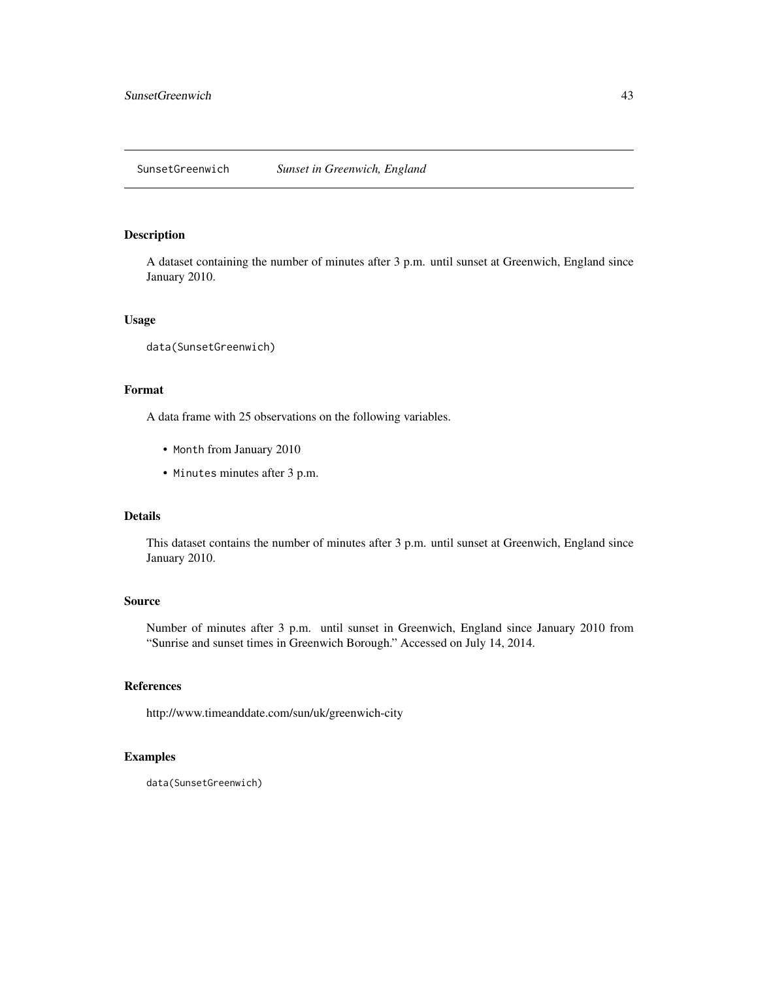<span id="page-42-0"></span>A dataset containing the number of minutes after 3 p.m. until sunset at Greenwich, England since January 2010.

#### Usage

data(SunsetGreenwich)

## Format

A data frame with 25 observations on the following variables.

- Month from January 2010
- Minutes minutes after 3 p.m.

#### Details

This dataset contains the number of minutes after 3 p.m. until sunset at Greenwich, England since January 2010.

#### Source

Number of minutes after 3 p.m. until sunset in Greenwich, England since January 2010 from "Sunrise and sunset times in Greenwich Borough." Accessed on July 14, 2014.

#### References

http://www.timeanddate.com/sun/uk/greenwich-city

#### Examples

data(SunsetGreenwich)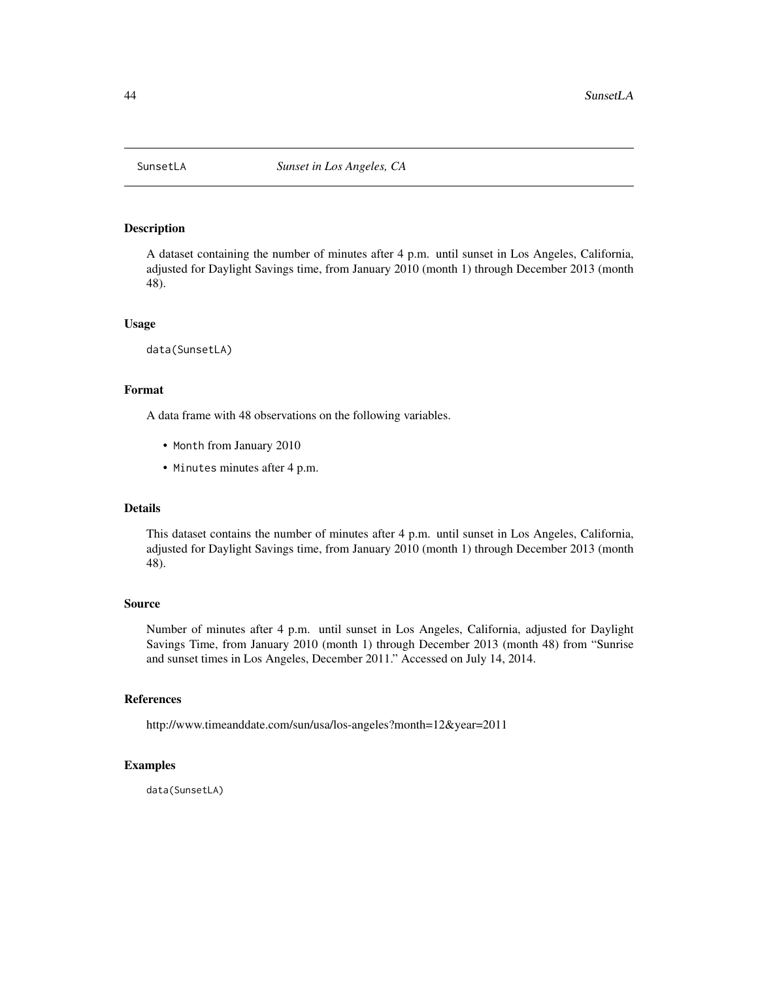<span id="page-43-0"></span>

A dataset containing the number of minutes after 4 p.m. until sunset in Los Angeles, California, adjusted for Daylight Savings time, from January 2010 (month 1) through December 2013 (month 48).

#### Usage

data(SunsetLA)

## Format

A data frame with 48 observations on the following variables.

- Month from January 2010
- Minutes minutes after 4 p.m.

#### Details

This dataset contains the number of minutes after 4 p.m. until sunset in Los Angeles, California, adjusted for Daylight Savings time, from January 2010 (month 1) through December 2013 (month 48).

#### Source

Number of minutes after 4 p.m. until sunset in Los Angeles, California, adjusted for Daylight Savings Time, from January 2010 (month 1) through December 2013 (month 48) from "Sunrise and sunset times in Los Angeles, December 2011." Accessed on July 14, 2014.

#### References

http://www.timeanddate.com/sun/usa/los-angeles?month=12&year=2011

#### Examples

data(SunsetLA)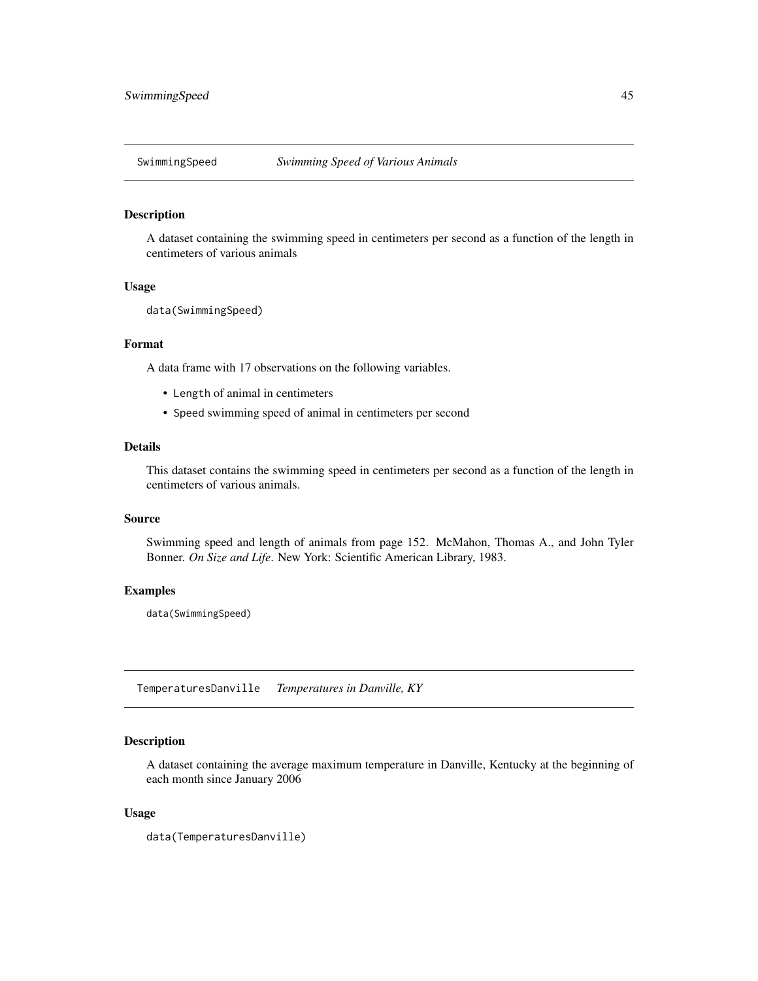<span id="page-44-0"></span>

A dataset containing the swimming speed in centimeters per second as a function of the length in centimeters of various animals

## Usage

data(SwimmingSpeed)

## Format

A data frame with 17 observations on the following variables.

- Length of animal in centimeters
- Speed swimming speed of animal in centimeters per second

## Details

This dataset contains the swimming speed in centimeters per second as a function of the length in centimeters of various animals.

## Source

Swimming speed and length of animals from page 152. McMahon, Thomas A., and John Tyler Bonner. *On Size and Life*. New York: Scientific American Library, 1983.

#### Examples

data(SwimmingSpeed)

TemperaturesDanville *Temperatures in Danville, KY*

## Description

A dataset containing the average maximum temperature in Danville, Kentucky at the beginning of each month since January 2006

#### Usage

```
data(TemperaturesDanville)
```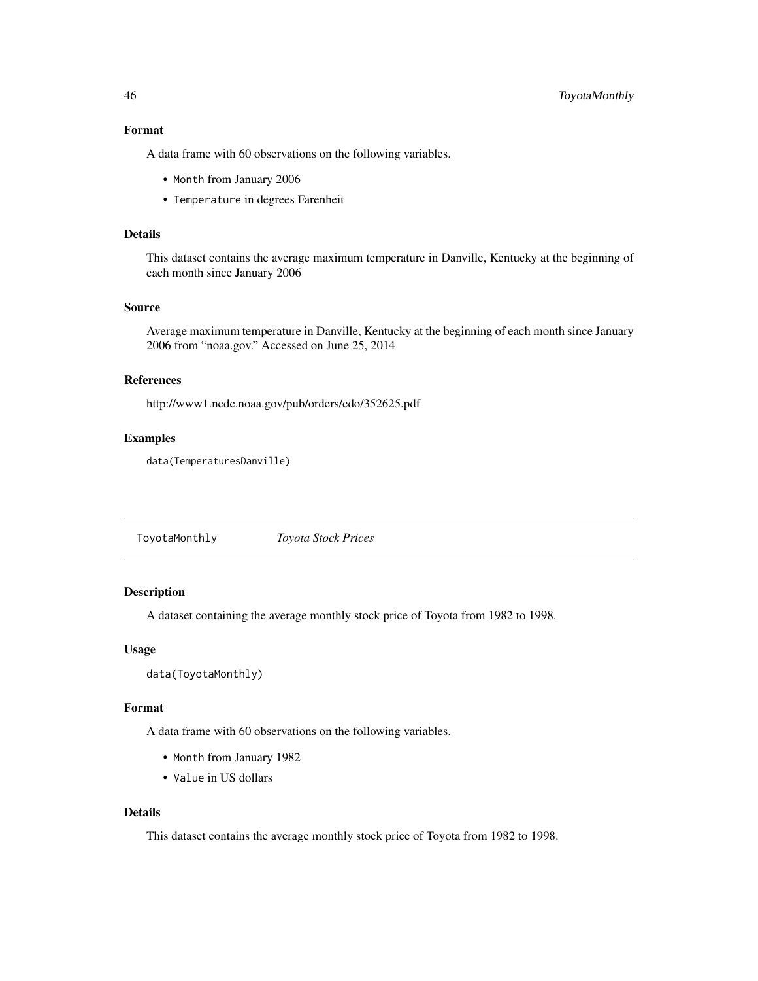## Format

A data frame with 60 observations on the following variables.

- Month from January 2006
- Temperature in degrees Farenheit

## Details

This dataset contains the average maximum temperature in Danville, Kentucky at the beginning of each month since January 2006

#### Source

Average maximum temperature in Danville, Kentucky at the beginning of each month since January 2006 from "noaa.gov." Accessed on June 25, 2014

## References

http://www1.ncdc.noaa.gov/pub/orders/cdo/352625.pdf

#### Examples

data(TemperaturesDanville)

ToyotaMonthly *Toyota Stock Prices*

## Description

A dataset containing the average monthly stock price of Toyota from 1982 to 1998.

#### Usage

```
data(ToyotaMonthly)
```
#### Format

A data frame with 60 observations on the following variables.

- Month from January 1982
- Value in US dollars

## Details

This dataset contains the average monthly stock price of Toyota from 1982 to 1998.

<span id="page-45-0"></span>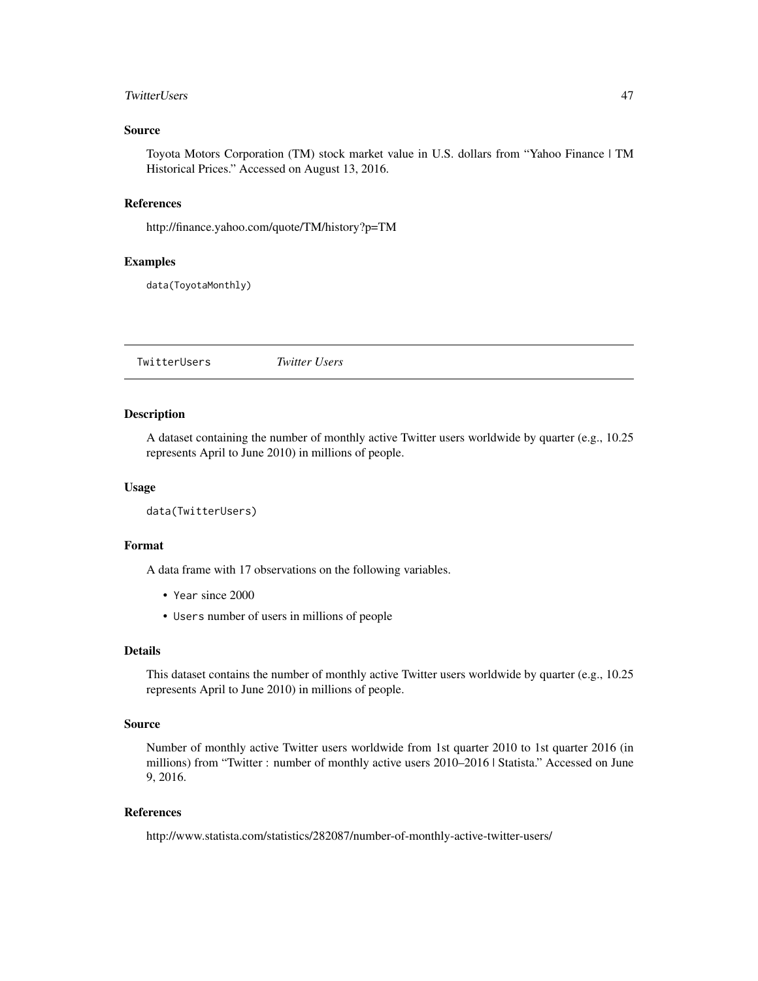#### <span id="page-46-0"></span>TwitterUsers 47

## Source

Toyota Motors Corporation (TM) stock market value in U.S. dollars from "Yahoo Finance | TM Historical Prices." Accessed on August 13, 2016.

## References

http://finance.yahoo.com/quote/TM/history?p=TM

#### Examples

data(ToyotaMonthly)

TwitterUsers *Twitter Users*

#### Description

A dataset containing the number of monthly active Twitter users worldwide by quarter (e.g., 10.25 represents April to June 2010) in millions of people.

## Usage

```
data(TwitterUsers)
```
#### Format

A data frame with 17 observations on the following variables.

- Year since 2000
- Users number of users in millions of people

#### Details

This dataset contains the number of monthly active Twitter users worldwide by quarter (e.g., 10.25 represents April to June 2010) in millions of people.

#### Source

Number of monthly active Twitter users worldwide from 1st quarter 2010 to 1st quarter 2016 (in millions) from "Twitter : number of monthly active users 2010–2016 | Statista." Accessed on June 9, 2016.

## References

http://www.statista.com/statistics/282087/number-of-monthly-active-twitter-users/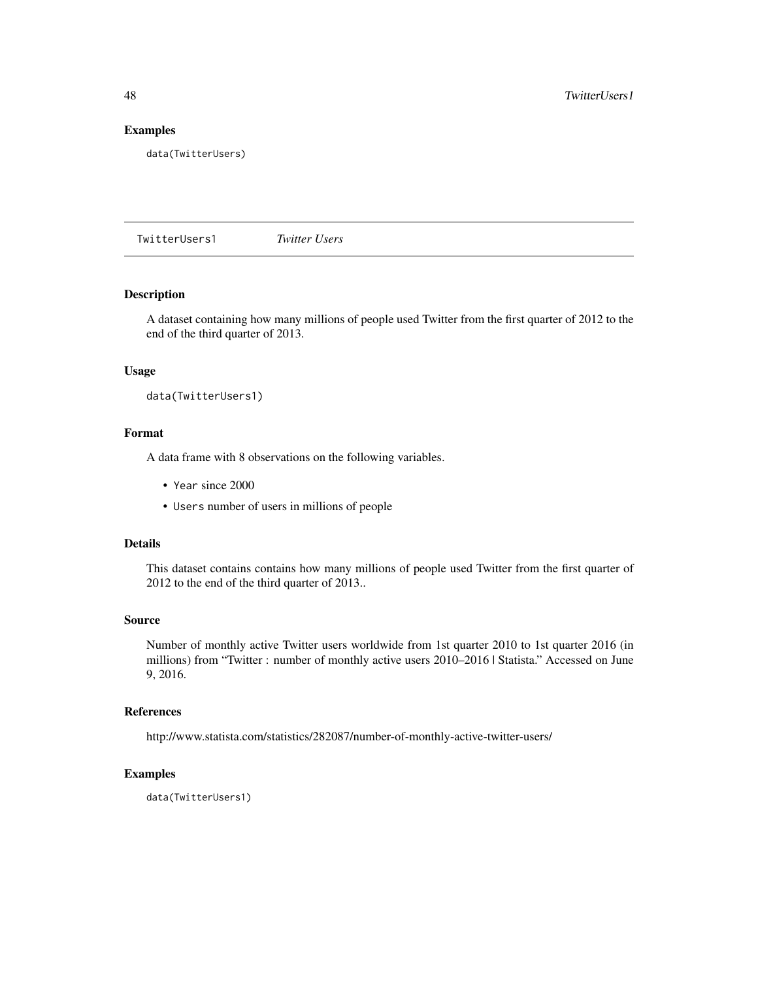## Examples

data(TwitterUsers)

TwitterUsers1 *Twitter Users*

## Description

A dataset containing how many millions of people used Twitter from the first quarter of 2012 to the end of the third quarter of 2013.

#### Usage

data(TwitterUsers1)

## Format

A data frame with 8 observations on the following variables.

- Year since 2000
- Users number of users in millions of people

#### Details

This dataset contains contains how many millions of people used Twitter from the first quarter of 2012 to the end of the third quarter of 2013..

#### Source

Number of monthly active Twitter users worldwide from 1st quarter 2010 to 1st quarter 2016 (in millions) from "Twitter : number of monthly active users 2010–2016 | Statista." Accessed on June 9, 2016.

#### References

http://www.statista.com/statistics/282087/number-of-monthly-active-twitter-users/

#### Examples

data(TwitterUsers1)

<span id="page-47-0"></span>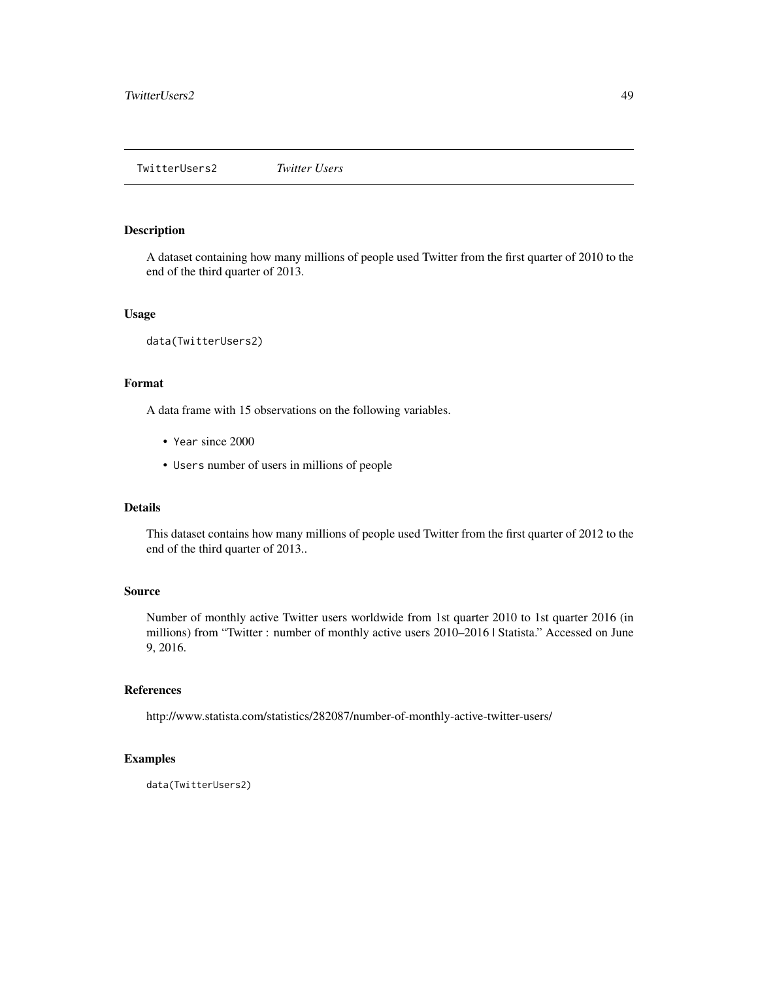<span id="page-48-0"></span>A dataset containing how many millions of people used Twitter from the first quarter of 2010 to the end of the third quarter of 2013.

## Usage

data(TwitterUsers2)

## Format

A data frame with 15 observations on the following variables.

- Year since 2000
- Users number of users in millions of people

#### Details

This dataset contains how many millions of people used Twitter from the first quarter of 2012 to the end of the third quarter of 2013..

#### Source

Number of monthly active Twitter users worldwide from 1st quarter 2010 to 1st quarter 2016 (in millions) from "Twitter : number of monthly active users 2010–2016 | Statista." Accessed on June 9, 2016.

#### References

http://www.statista.com/statistics/282087/number-of-monthly-active-twitter-users/

## Examples

data(TwitterUsers2)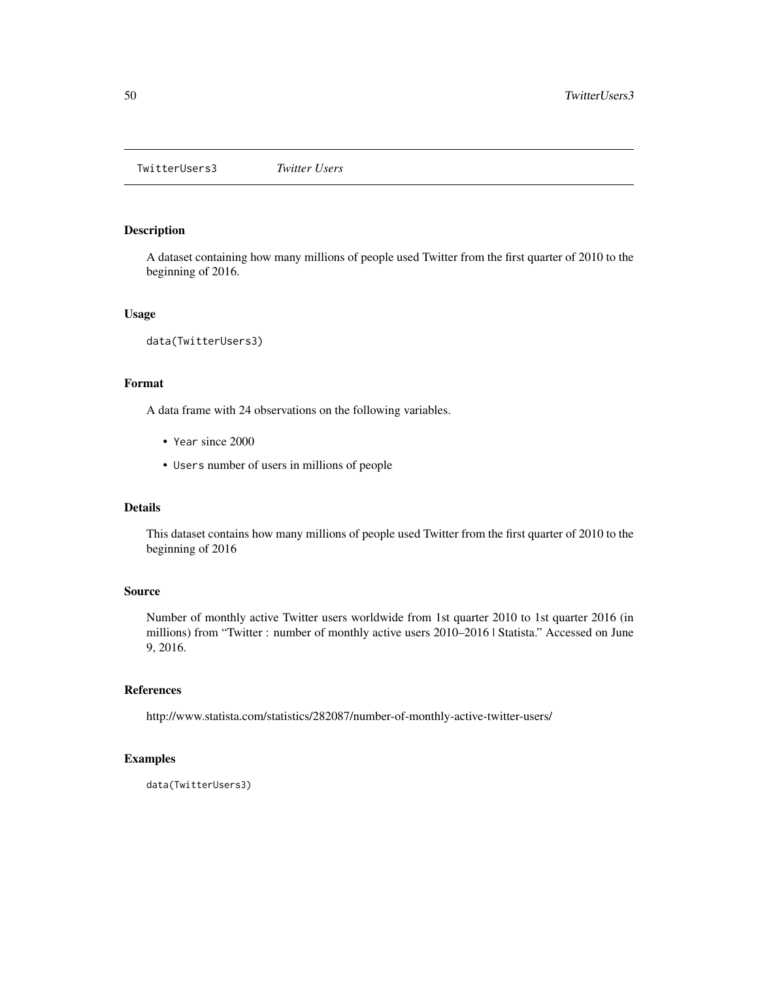<span id="page-49-0"></span>TwitterUsers3 *Twitter Users*

## Description

A dataset containing how many millions of people used Twitter from the first quarter of 2010 to the beginning of 2016.

## Usage

data(TwitterUsers3)

## Format

A data frame with 24 observations on the following variables.

- Year since 2000
- Users number of users in millions of people

#### Details

This dataset contains how many millions of people used Twitter from the first quarter of 2010 to the beginning of 2016

#### Source

Number of monthly active Twitter users worldwide from 1st quarter 2010 to 1st quarter 2016 (in millions) from "Twitter : number of monthly active users 2010–2016 | Statista." Accessed on June 9, 2016.

## References

http://www.statista.com/statistics/282087/number-of-monthly-active-twitter-users/

## Examples

data(TwitterUsers3)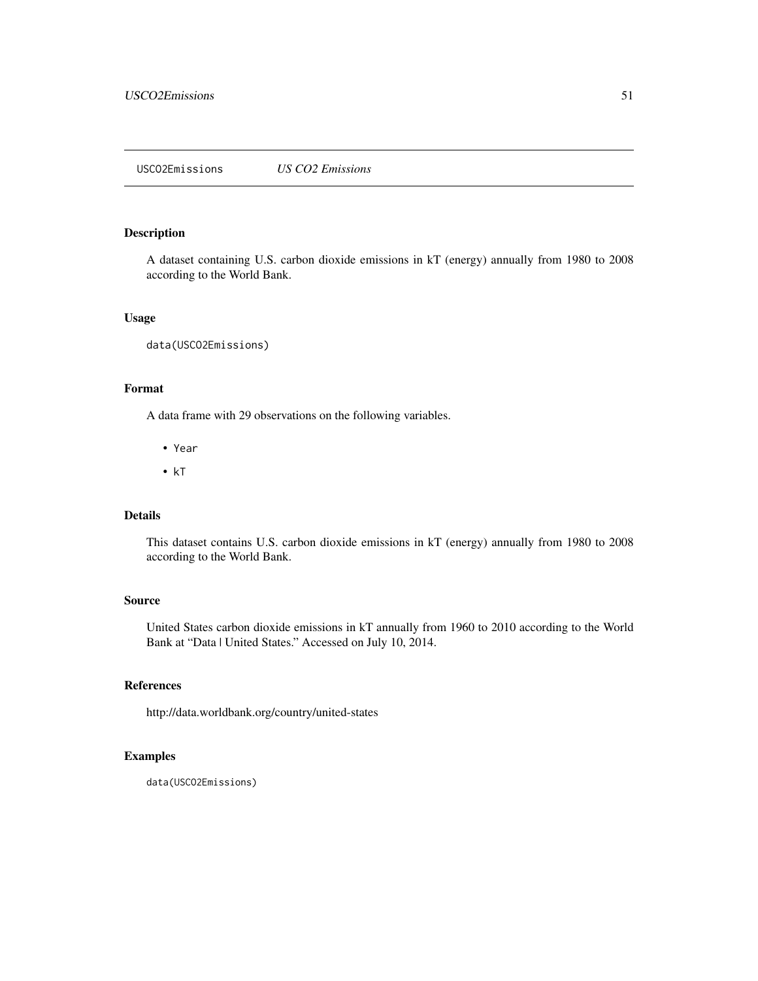<span id="page-50-0"></span>USCO2Emissions *US CO2 Emissions*

#### Description

A dataset containing U.S. carbon dioxide emissions in kT (energy) annually from 1980 to 2008 according to the World Bank.

#### Usage

```
data(USCO2Emissions)
```
## Format

A data frame with 29 observations on the following variables.

- Year
- kT

## Details

This dataset contains U.S. carbon dioxide emissions in kT (energy) annually from 1980 to 2008 according to the World Bank.

## Source

United States carbon dioxide emissions in kT annually from 1960 to 2010 according to the World Bank at "Data | United States." Accessed on July 10, 2014.

#### References

http://data.worldbank.org/country/united-states

## Examples

data(USCO2Emissions)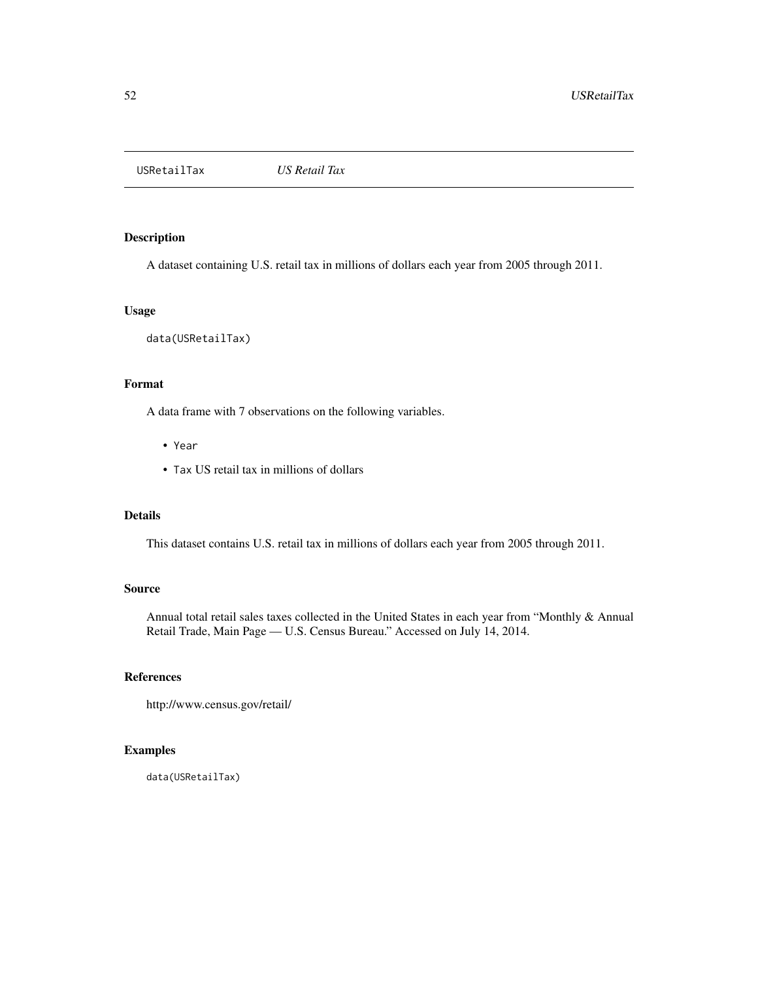<span id="page-51-0"></span>USRetailTax *US Retail Tax*

## Description

A dataset containing U.S. retail tax in millions of dollars each year from 2005 through 2011.

#### Usage

data(USRetailTax)

## Format

A data frame with 7 observations on the following variables.

- Year
- Tax US retail tax in millions of dollars

## Details

This dataset contains U.S. retail tax in millions of dollars each year from 2005 through 2011.

#### Source

Annual total retail sales taxes collected in the United States in each year from "Monthly & Annual Retail Trade, Main Page — U.S. Census Bureau." Accessed on July 14, 2014.

## References

http://www.census.gov/retail/

## Examples

data(USRetailTax)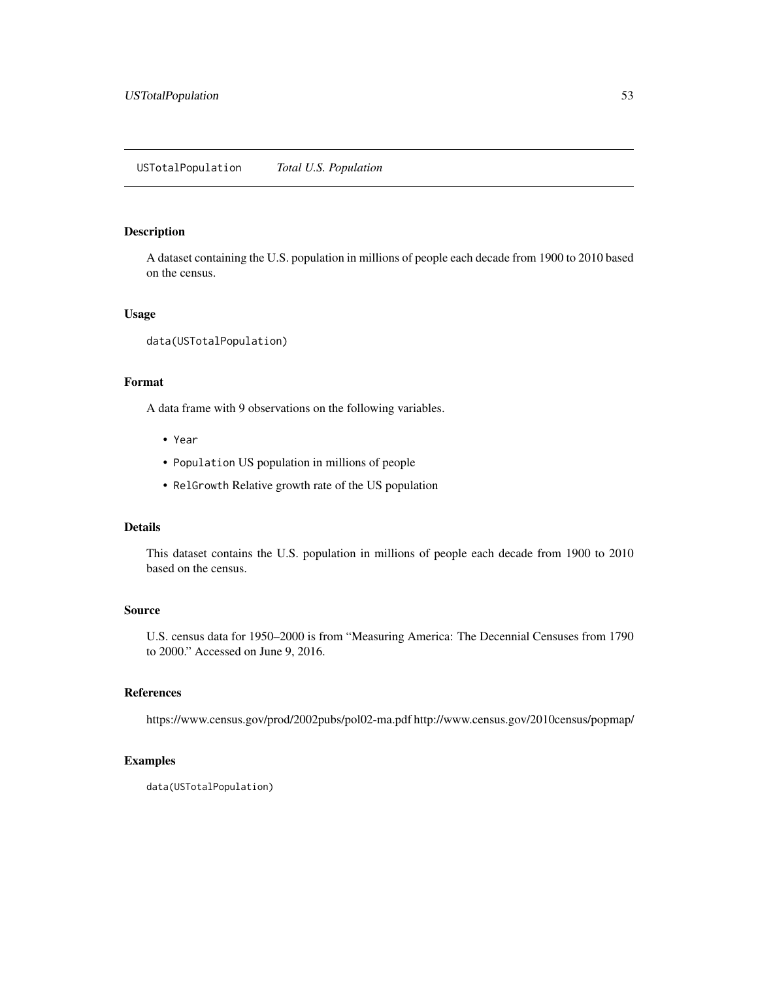<span id="page-52-0"></span>A dataset containing the U.S. population in millions of people each decade from 1900 to 2010 based on the census.

## Usage

```
data(USTotalPopulation)
```
## Format

A data frame with 9 observations on the following variables.

- Year
- Population US population in millions of people
- RelGrowth Relative growth rate of the US population

#### Details

This dataset contains the U.S. population in millions of people each decade from 1900 to 2010 based on the census.

## Source

U.S. census data for 1950–2000 is from "Measuring America: The Decennial Censuses from 1790 to 2000." Accessed on June 9, 2016.

#### References

https://www.census.gov/prod/2002pubs/pol02-ma.pdf http://www.census.gov/2010census/popmap/

#### Examples

data(USTotalPopulation)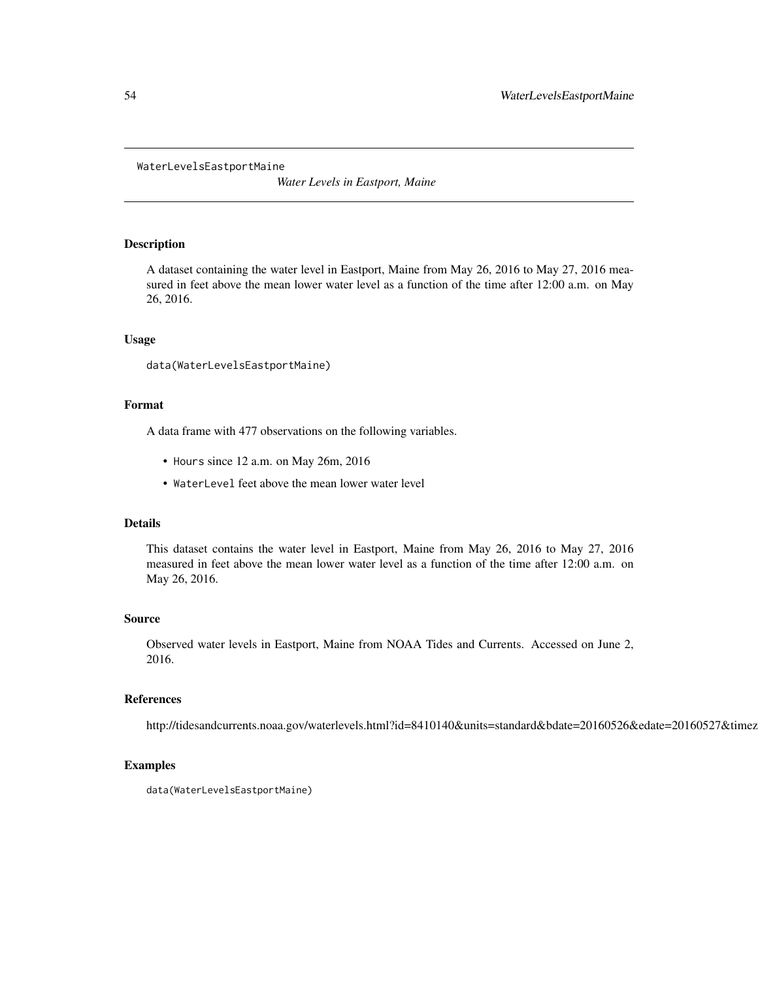#### <span id="page-53-0"></span>WaterLevelsEastportMaine

*Water Levels in Eastport, Maine*

## Description

A dataset containing the water level in Eastport, Maine from May 26, 2016 to May 27, 2016 measured in feet above the mean lower water level as a function of the time after 12:00 a.m. on May 26, 2016.

#### Usage

data(WaterLevelsEastportMaine)

#### Format

A data frame with 477 observations on the following variables.

- Hours since 12 a.m. on May 26m, 2016
- WaterLevel feet above the mean lower water level

## Details

This dataset contains the water level in Eastport, Maine from May 26, 2016 to May 27, 2016 measured in feet above the mean lower water level as a function of the time after 12:00 a.m. on May 26, 2016.

## Source

Observed water levels in Eastport, Maine from NOAA Tides and Currents. Accessed on June 2, 2016.

#### References

http://tidesandcurrents.noaa.gov/waterlevels.html?id=8410140&units=standard&bdate=20160526&edate=20160527&timez

#### Examples

data(WaterLevelsEastportMaine)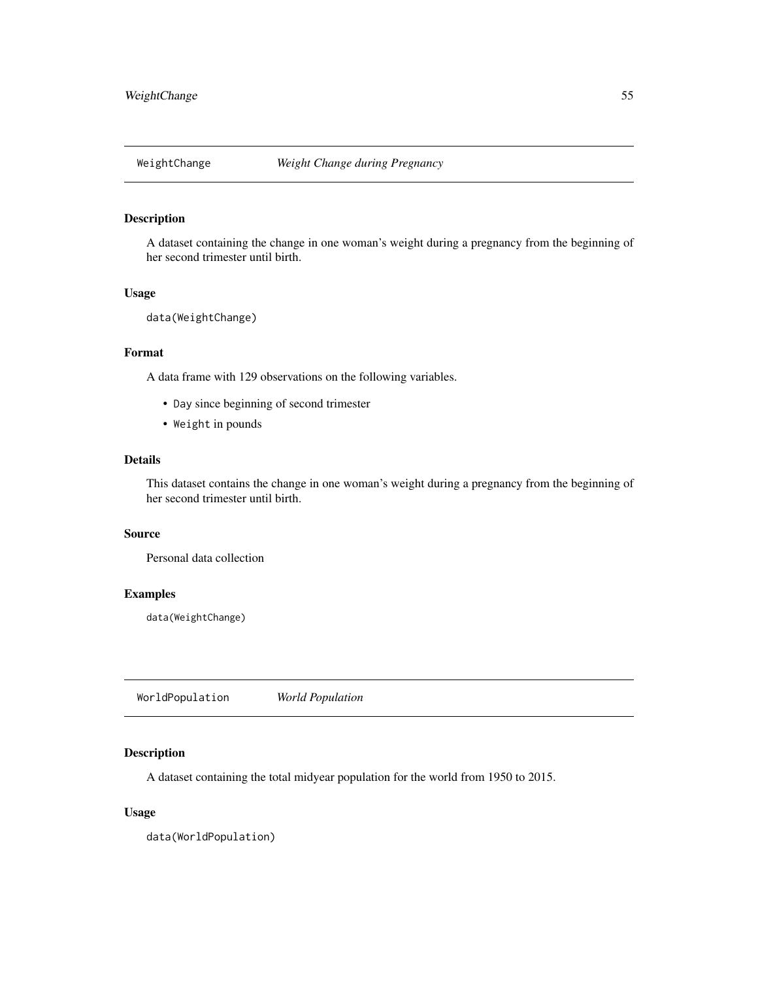<span id="page-54-0"></span>

A dataset containing the change in one woman's weight during a pregnancy from the beginning of her second trimester until birth.

## Usage

```
data(WeightChange)
```
#### Format

A data frame with 129 observations on the following variables.

- Day since beginning of second trimester
- Weight in pounds

## Details

This dataset contains the change in one woman's weight during a pregnancy from the beginning of her second trimester until birth.

## Source

Personal data collection

### Examples

data(WeightChange)

WorldPopulation *World Population*

## Description

A dataset containing the total midyear population for the world from 1950 to 2015.

## Usage

data(WorldPopulation)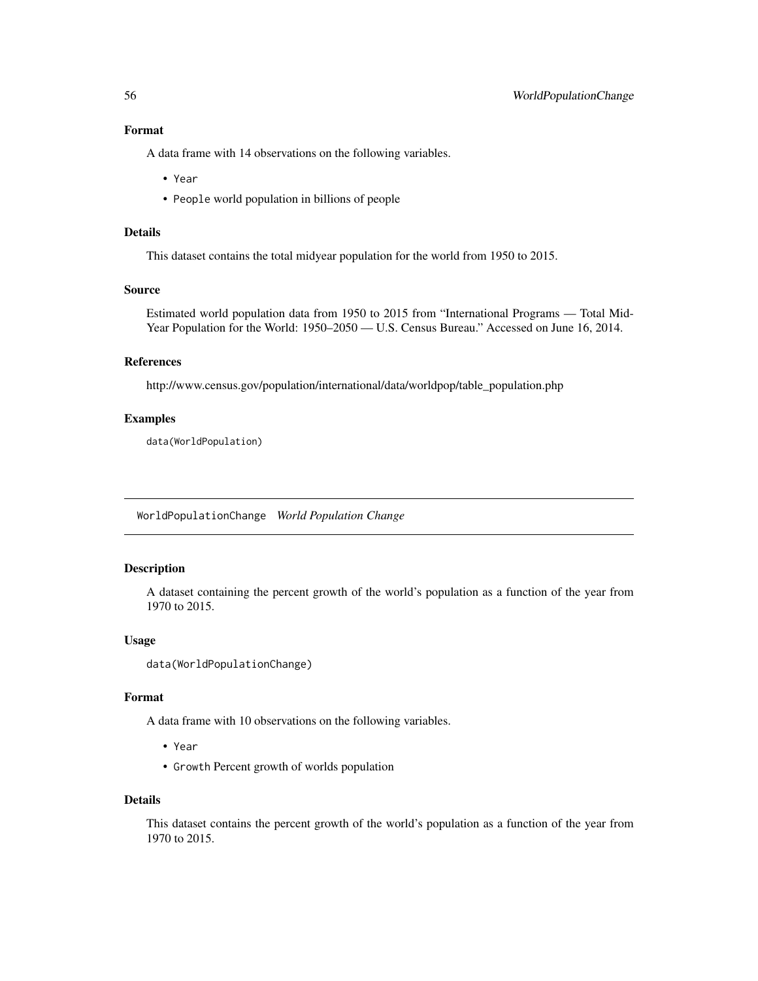## <span id="page-55-0"></span>Format

A data frame with 14 observations on the following variables.

- Year
- People world population in billions of people

## Details

This dataset contains the total midyear population for the world from 1950 to 2015.

## Source

Estimated world population data from 1950 to 2015 from "International Programs — Total Mid-Year Population for the World: 1950–2050 — U.S. Census Bureau." Accessed on June 16, 2014.

## References

http://www.census.gov/population/international/data/worldpop/table\_population.php

## Examples

data(WorldPopulation)

WorldPopulationChange *World Population Change*

#### Description

A dataset containing the percent growth of the world's population as a function of the year from 1970 to 2015.

## Usage

```
data(WorldPopulationChange)
```
#### Format

A data frame with 10 observations on the following variables.

- Year
- Growth Percent growth of worlds population

#### Details

This dataset contains the percent growth of the world's population as a function of the year from 1970 to 2015.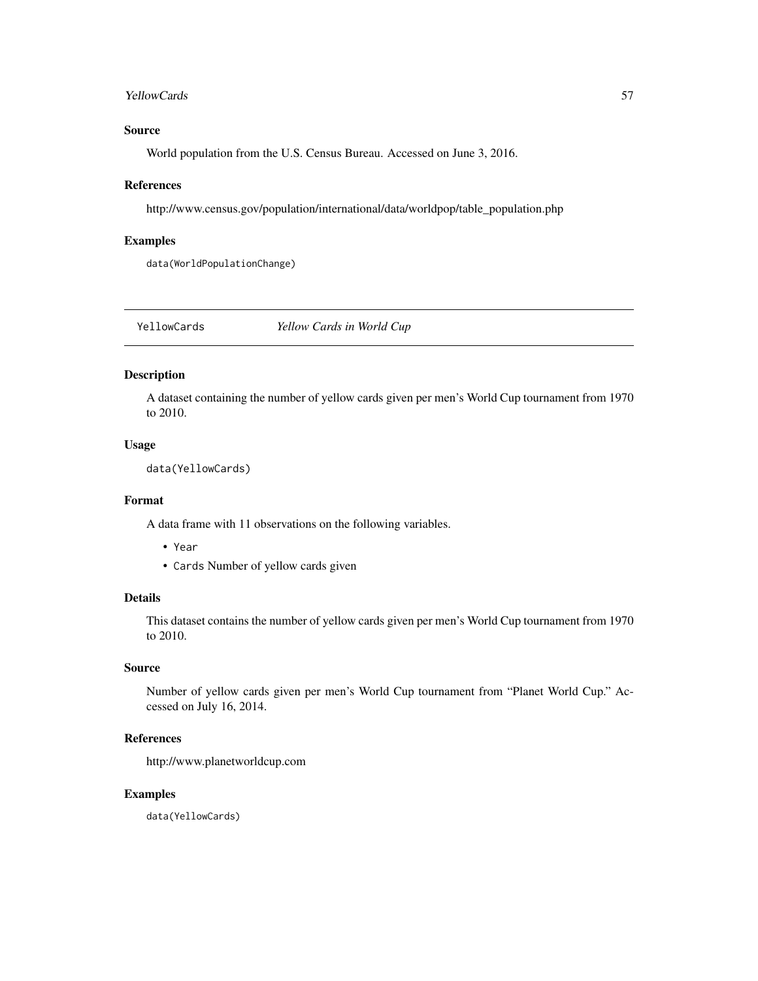#### <span id="page-56-0"></span>YellowCards 57

## Source

World population from the U.S. Census Bureau. Accessed on June 3, 2016.

#### References

http://www.census.gov/population/international/data/worldpop/table\_population.php

## Examples

data(WorldPopulationChange)

YellowCards *Yellow Cards in World Cup*

## Description

A dataset containing the number of yellow cards given per men's World Cup tournament from 1970 to 2010.

#### Usage

data(YellowCards)

#### Format

A data frame with 11 observations on the following variables.

- Year
- Cards Number of yellow cards given

#### Details

This dataset contains the number of yellow cards given per men's World Cup tournament from 1970 to 2010.

## Source

Number of yellow cards given per men's World Cup tournament from "Planet World Cup." Accessed on July 16, 2014.

#### References

http://www.planetworldcup.com

## Examples

data(YellowCards)